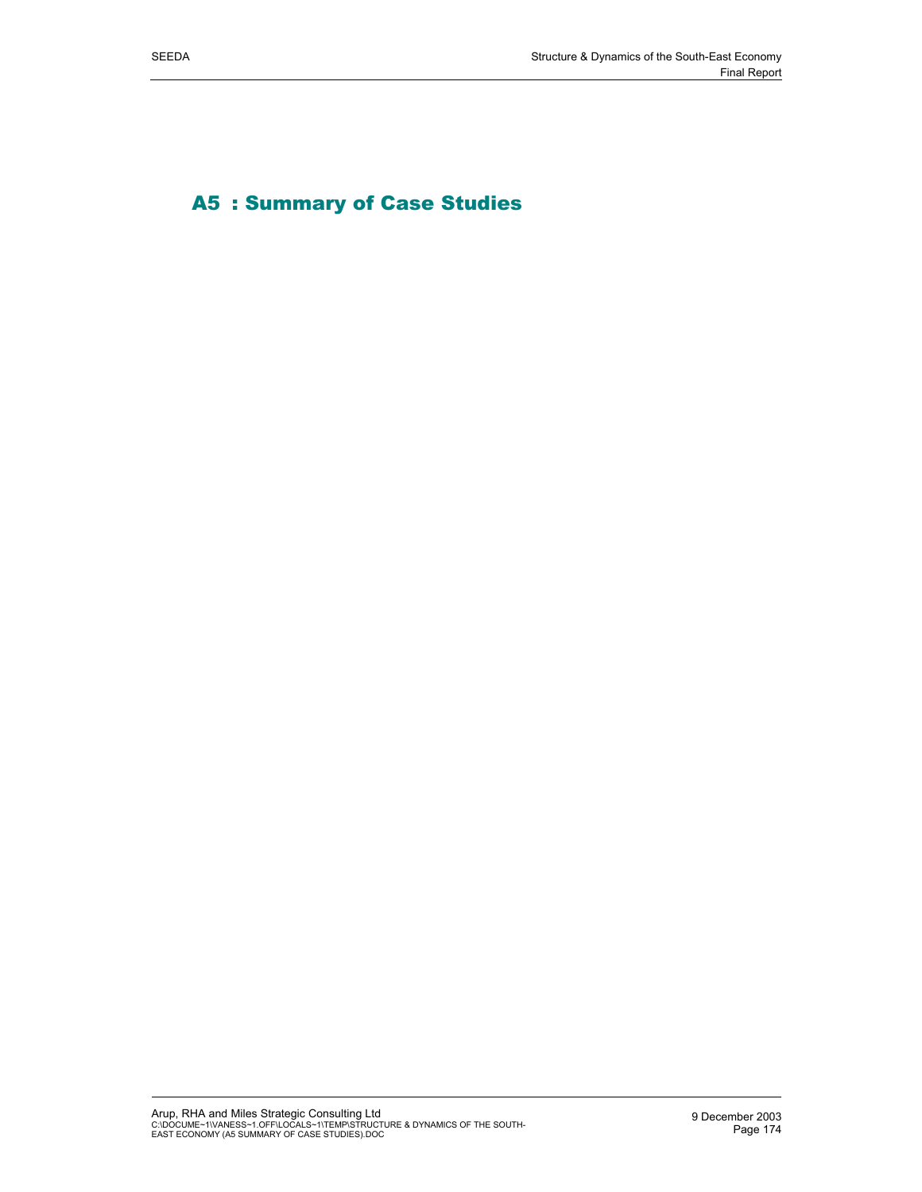A5 : Summary of Case Studies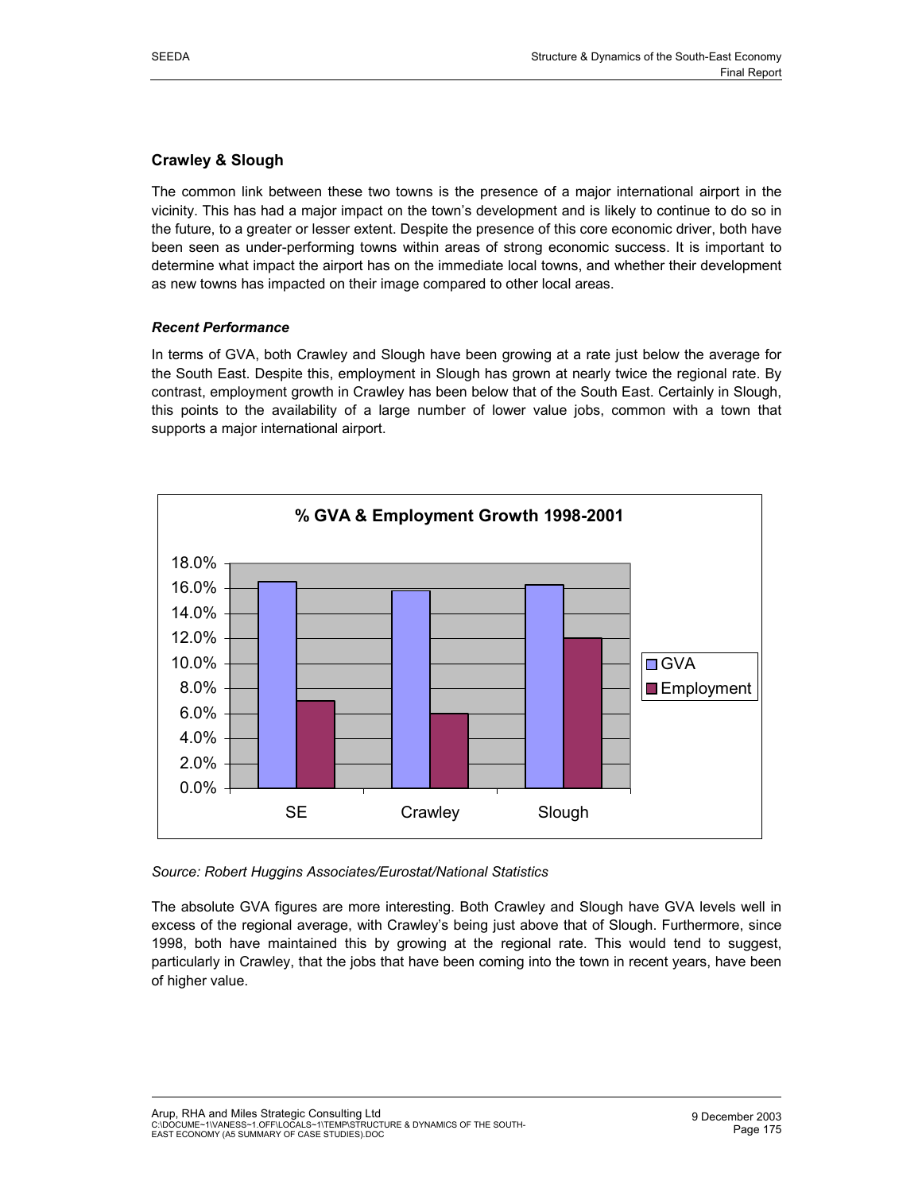# **Crawley & Slough**

The common link between these two towns is the presence of a major international airport in the vicinity. This has had a major impact on the town's development and is likely to continue to do so in the future, to a greater or lesser extent. Despite the presence of this core economic driver, both have been seen as under-performing towns within areas of strong economic success. It is important to determine what impact the airport has on the immediate local towns, and whether their development as new towns has impacted on their image compared to other local areas.

## *Recent Performance*

In terms of GVA, both Crawley and Slough have been growing at a rate just below the average for the South East. Despite this, employment in Slough has grown at nearly twice the regional rate. By contrast, employment growth in Crawley has been below that of the South East. Certainly in Slough, this points to the availability of a large number of lower value jobs, common with a town that supports a major international airport.



## *Source: Robert Huggins Associates/Eurostat/National Statistics*

The absolute GVA figures are more interesting. Both Crawley and Slough have GVA levels well in excess of the regional average, with Crawley's being just above that of Slough. Furthermore, since 1998, both have maintained this by growing at the regional rate. This would tend to suggest, particularly in Crawley, that the jobs that have been coming into the town in recent years, have been of higher value.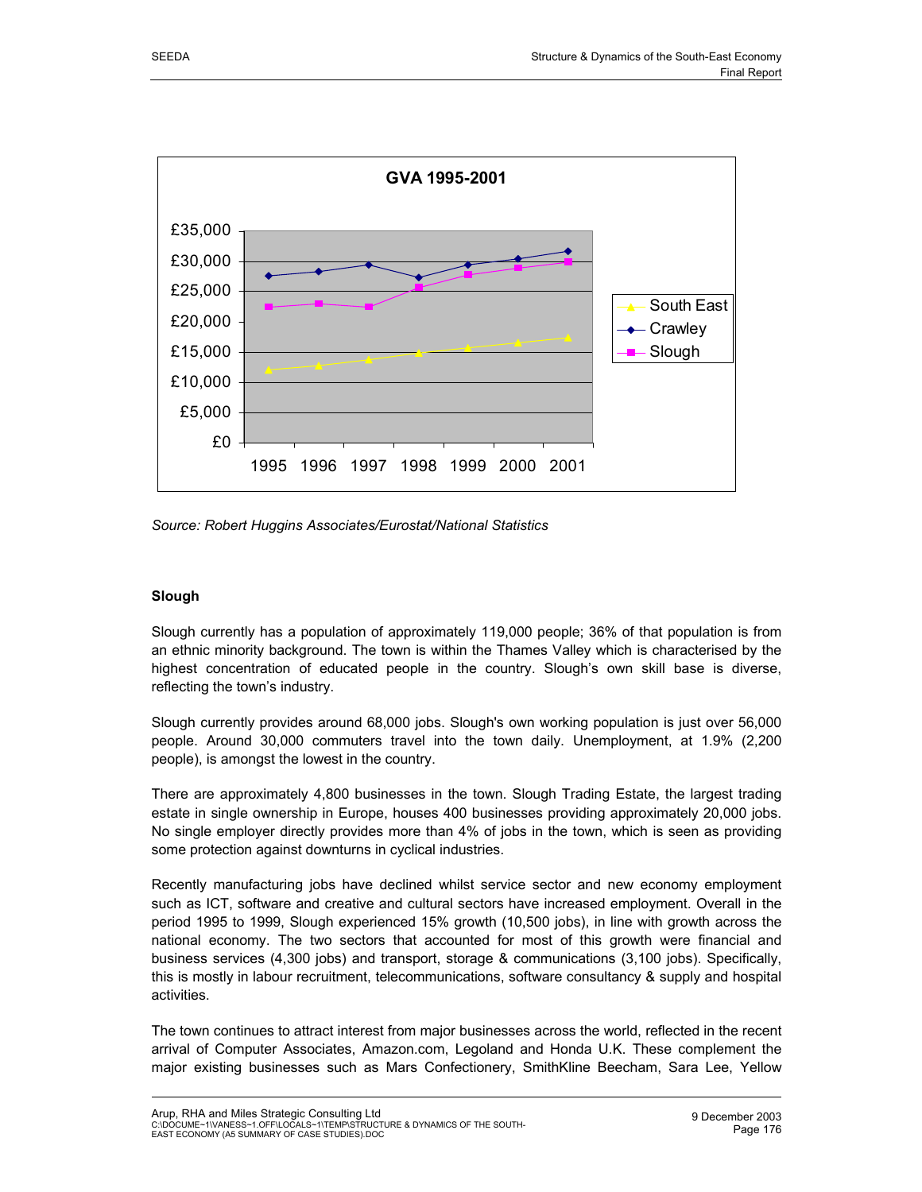

*Source: Robert Huggins Associates/Eurostat/National Statistics*

## **Slough**

Slough currently has a population of approximately 119,000 people; 36% of that population is from an ethnic minority background. The town is within the Thames Valley which is characterised by the highest concentration of educated people in the country. Slough's own skill base is diverse, reflecting the town's industry.

Slough currently provides around 68,000 jobs. Slough's own working population is just over 56,000 people. Around 30,000 commuters travel into the town daily. Unemployment, at 1.9% (2,200 people), is amongst the lowest in the country.

There are approximately 4,800 businesses in the town. Slough Trading Estate, the largest trading estate in single ownership in Europe, houses 400 businesses providing approximately 20,000 jobs. No single employer directly provides more than 4% of jobs in the town, which is seen as providing some protection against downturns in cyclical industries.

Recently manufacturing jobs have declined whilst service sector and new economy employment such as ICT, software and creative and cultural sectors have increased employment. Overall in the period 1995 to 1999, Slough experienced 15% growth (10,500 jobs), in line with growth across the national economy. The two sectors that accounted for most of this growth were financial and business services (4,300 jobs) and transport, storage & communications (3,100 jobs). Specifically, this is mostly in labour recruitment, telecommunications, software consultancy & supply and hospital activities.

The town continues to attract interest from major businesses across the world, reflected in the recent arrival of Computer Associates, Amazon.com, Legoland and Honda U.K. These complement the major existing businesses such as Mars Confectionery, SmithKline Beecham, Sara Lee, Yellow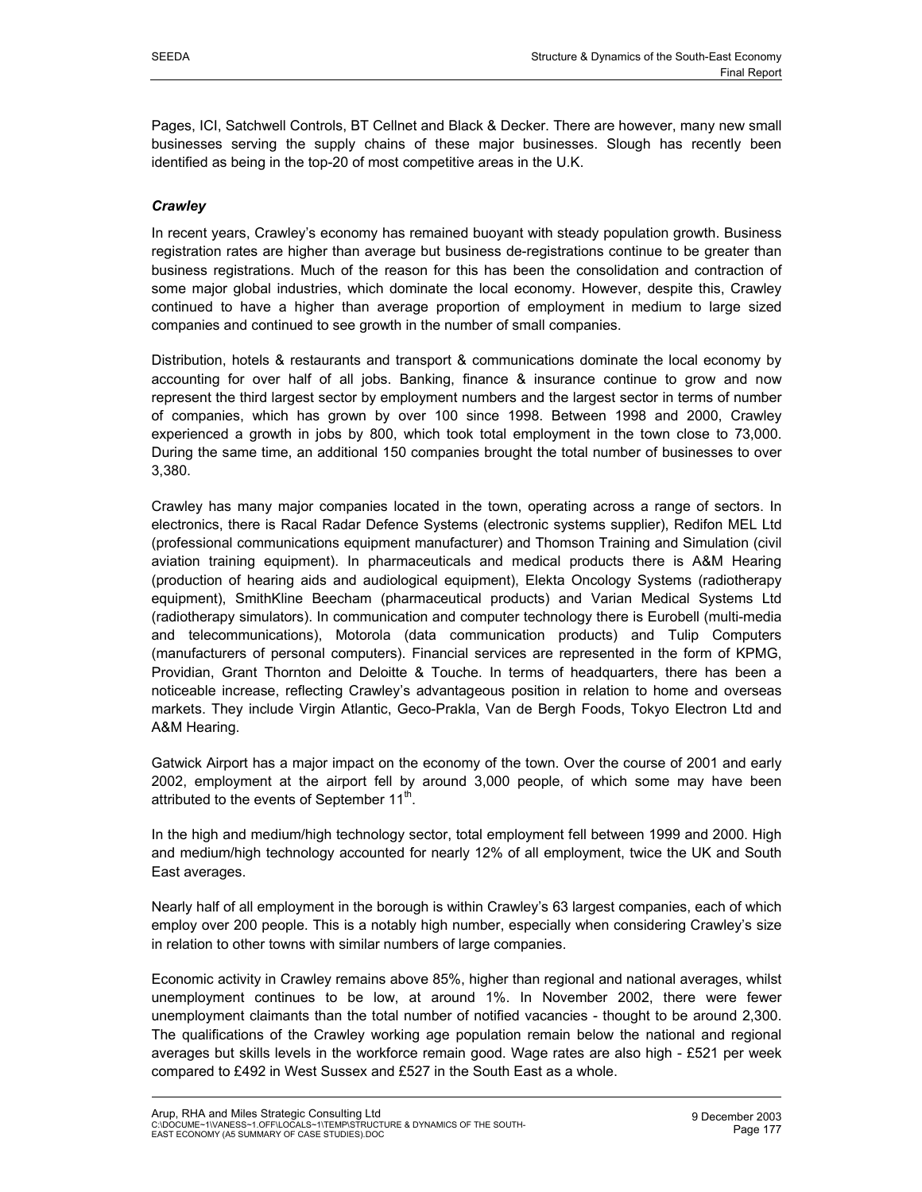Pages, ICI, Satchwell Controls, BT Cellnet and Black & Decker. There are however, many new small businesses serving the supply chains of these major businesses. Slough has recently been identified as being in the top-20 of most competitive areas in the U.K.

## *Crawley*

In recent years, Crawley's economy has remained buoyant with steady population growth. Business registration rates are higher than average but business de-registrations continue to be greater than business registrations. Much of the reason for this has been the consolidation and contraction of some major global industries, which dominate the local economy. However, despite this, Crawley continued to have a higher than average proportion of employment in medium to large sized companies and continued to see growth in the number of small companies.

Distribution, hotels & restaurants and transport & communications dominate the local economy by accounting for over half of all jobs. Banking, finance & insurance continue to grow and now represent the third largest sector by employment numbers and the largest sector in terms of number of companies, which has grown by over 100 since 1998. Between 1998 and 2000, Crawley experienced a growth in jobs by 800, which took total employment in the town close to 73,000. During the same time, an additional 150 companies brought the total number of businesses to over 3,380.

Crawley has many major companies located in the town, operating across a range of sectors. In electronics, there is Racal Radar Defence Systems (electronic systems supplier), Redifon MEL Ltd (professional communications equipment manufacturer) and Thomson Training and Simulation (civil aviation training equipment). In pharmaceuticals and medical products there is A&M Hearing (production of hearing aids and audiological equipment), Elekta Oncology Systems (radiotherapy equipment), SmithKline Beecham (pharmaceutical products) and Varian Medical Systems Ltd (radiotherapy simulators). In communication and computer technology there is Eurobell (multi-media and telecommunications), Motorola (data communication products) and Tulip Computers (manufacturers of personal computers). Financial services are represented in the form of KPMG, Providian, Grant Thornton and Deloitte & Touche. In terms of headquarters, there has been a noticeable increase, reflecting Crawley's advantageous position in relation to home and overseas markets. They include Virgin Atlantic, Geco-Prakla, Van de Bergh Foods, Tokyo Electron Ltd and A&M Hearing.

Gatwick Airport has a major impact on the economy of the town. Over the course of 2001 and early 2002, employment at the airport fell by around 3,000 people, of which some may have been attributed to the events of September  $11^{\mathrm{m}}$ .

In the high and medium/high technology sector, total employment fell between 1999 and 2000. High and medium/high technology accounted for nearly 12% of all employment, twice the UK and South East averages.

Nearly half of all employment in the borough is within Crawley's 63 largest companies, each of which employ over 200 people. This is a notably high number, especially when considering Crawley's size in relation to other towns with similar numbers of large companies.

Economic activity in Crawley remains above 85%, higher than regional and national averages, whilst unemployment continues to be low, at around 1%. In November 2002, there were fewer unemployment claimants than the total number of notified vacancies - thought to be around 2,300. The qualifications of the Crawley working age population remain below the national and regional averages but skills levels in the workforce remain good. Wage rates are also high - £521 per week compared to £492 in West Sussex and £527 in the South East as a whole.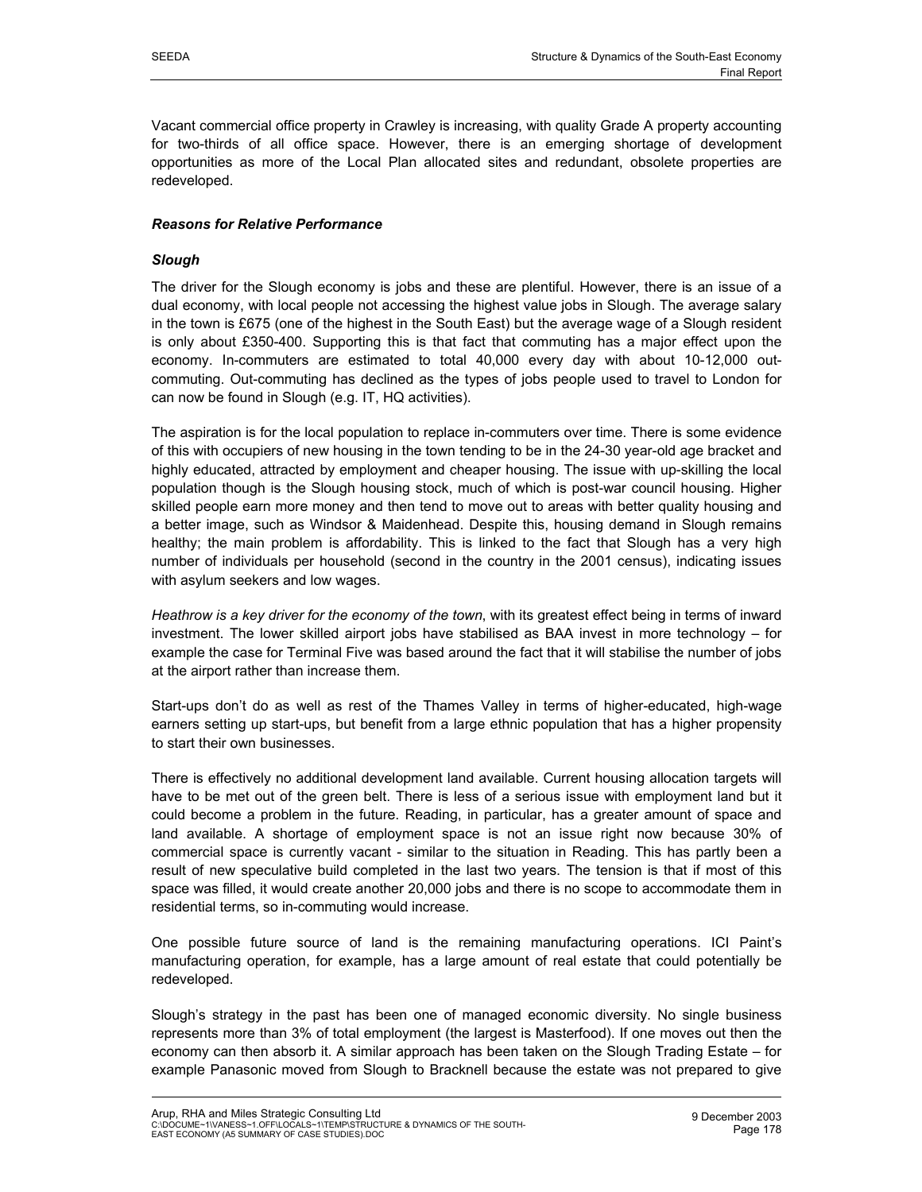Vacant commercial office property in Crawley is increasing, with quality Grade A property accounting for two-thirds of all office space. However, there is an emerging shortage of development opportunities as more of the Local Plan allocated sites and redundant, obsolete properties are redeveloped.

## *Reasons for Relative Performance*

## *Slough*

The driver for the Slough economy is jobs and these are plentiful. However, there is an issue of a dual economy, with local people not accessing the highest value jobs in Slough. The average salary in the town is £675 (one of the highest in the South East) but the average wage of a Slough resident is only about £350-400. Supporting this is that fact that commuting has a major effect upon the economy. In-commuters are estimated to total 40,000 every day with about 10-12,000 outcommuting. Out-commuting has declined as the types of jobs people used to travel to London for can now be found in Slough (e.g. IT, HQ activities).

The aspiration is for the local population to replace in-commuters over time. There is some evidence of this with occupiers of new housing in the town tending to be in the 24-30 year-old age bracket and highly educated, attracted by employment and cheaper housing. The issue with up-skilling the local population though is the Slough housing stock, much of which is post-war council housing. Higher skilled people earn more money and then tend to move out to areas with better quality housing and a better image, such as Windsor & Maidenhead. Despite this, housing demand in Slough remains healthy; the main problem is affordability. This is linked to the fact that Slough has a very high number of individuals per household (second in the country in the 2001 census), indicating issues with asylum seekers and low wages.

*Heathrow is a key driver for the economy of the town*, with its greatest effect being in terms of inward investment. The lower skilled airport jobs have stabilised as BAA invest in more technology – for example the case for Terminal Five was based around the fact that it will stabilise the number of jobs at the airport rather than increase them.

Start-ups don't do as well as rest of the Thames Valley in terms of higher-educated, high-wage earners setting up start-ups, but benefit from a large ethnic population that has a higher propensity to start their own businesses.

There is effectively no additional development land available. Current housing allocation targets will have to be met out of the green belt. There is less of a serious issue with employment land but it could become a problem in the future. Reading, in particular, has a greater amount of space and land available. A shortage of employment space is not an issue right now because 30% of commercial space is currently vacant - similar to the situation in Reading. This has partly been a result of new speculative build completed in the last two years. The tension is that if most of this space was filled, it would create another 20,000 jobs and there is no scope to accommodate them in residential terms, so in-commuting would increase.

One possible future source of land is the remaining manufacturing operations. ICI Paint's manufacturing operation, for example, has a large amount of real estate that could potentially be redeveloped.

Slough's strategy in the past has been one of managed economic diversity. No single business represents more than 3% of total employment (the largest is Masterfood). If one moves out then the economy can then absorb it. A similar approach has been taken on the Slough Trading Estate – for example Panasonic moved from Slough to Bracknell because the estate was not prepared to give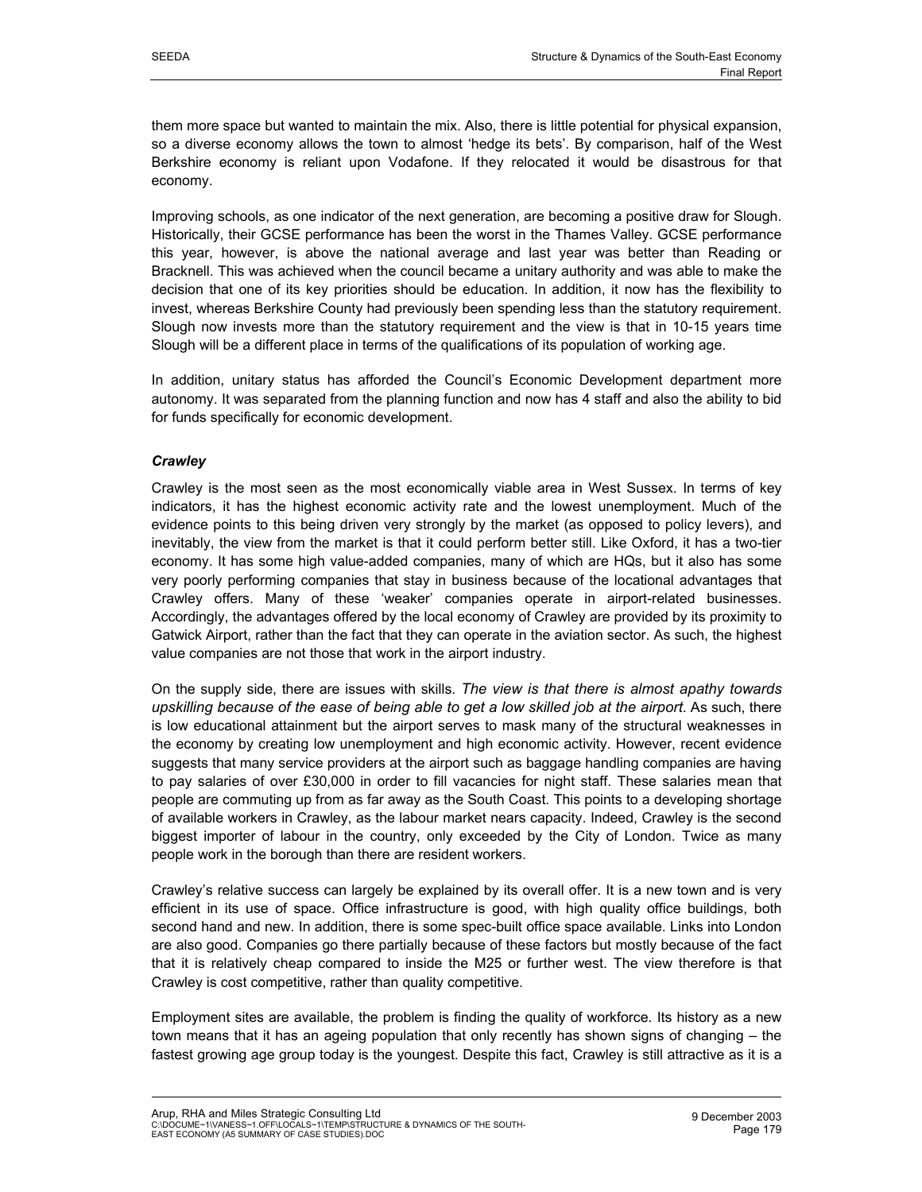them more space but wanted to maintain the mix. Also, there is little potential for physical expansion, so a diverse economy allows the town to almost 'hedge its bets'. By comparison, half of the West Berkshire economy is reliant upon Vodafone. If they relocated it would be disastrous for that economy.

Improving schools, as one indicator of the next generation, are becoming a positive draw for Slough. Historically, their GCSE performance has been the worst in the Thames Valley. GCSE performance this year, however, is above the national average and last year was better than Reading or Bracknell. This was achieved when the council became a unitary authority and was able to make the decision that one of its key priorities should be education. In addition, it now has the flexibility to invest, whereas Berkshire County had previously been spending less than the statutory requirement. Slough now invests more than the statutory requirement and the view is that in 10-15 years time Slough will be a different place in terms of the qualifications of its population of working age.

In addition, unitary status has afforded the Council's Economic Development department more autonomy. It was separated from the planning function and now has 4 staff and also the ability to bid for funds specifically for economic development.

## *Crawley*

Crawley is the most seen as the most economically viable area in West Sussex. In terms of key indicators, it has the highest economic activity rate and the lowest unemployment. Much of the evidence points to this being driven very strongly by the market (as opposed to policy levers), and inevitably, the view from the market is that it could perform better still. Like Oxford, it has a two-tier economy. It has some high value-added companies, many of which are HQs, but it also has some very poorly performing companies that stay in business because of the locational advantages that Crawley offers. Many of these 'weaker' companies operate in airport-related businesses. Accordingly, the advantages offered by the local economy of Crawley are provided by its proximity to Gatwick Airport, rather than the fact that they can operate in the aviation sector. As such, the highest value companies are not those that work in the airport industry.

On the supply side, there are issues with skills. *The view is that there is almost apathy towards upskilling because of the ease of being able to get a low skilled job at the airport*. As such, there is low educational attainment but the airport serves to mask many of the structural weaknesses in the economy by creating low unemployment and high economic activity. However, recent evidence suggests that many service providers at the airport such as baggage handling companies are having to pay salaries of over £30,000 in order to fill vacancies for night staff. These salaries mean that people are commuting up from as far away as the South Coast. This points to a developing shortage of available workers in Crawley, as the labour market nears capacity. Indeed, Crawley is the second biggest importer of labour in the country, only exceeded by the City of London. Twice as many people work in the borough than there are resident workers.

Crawley's relative success can largely be explained by its overall offer. It is a new town and is very efficient in its use of space. Office infrastructure is good, with high quality office buildings, both second hand and new. In addition, there is some spec-built office space available. Links into London are also good. Companies go there partially because of these factors but mostly because of the fact that it is relatively cheap compared to inside the M25 or further west. The view therefore is that Crawley is cost competitive, rather than quality competitive.

Employment sites are available, the problem is finding the quality of workforce. Its history as a new town means that it has an ageing population that only recently has shown signs of changing – the fastest growing age group today is the youngest. Despite this fact, Crawley is still attractive as it is a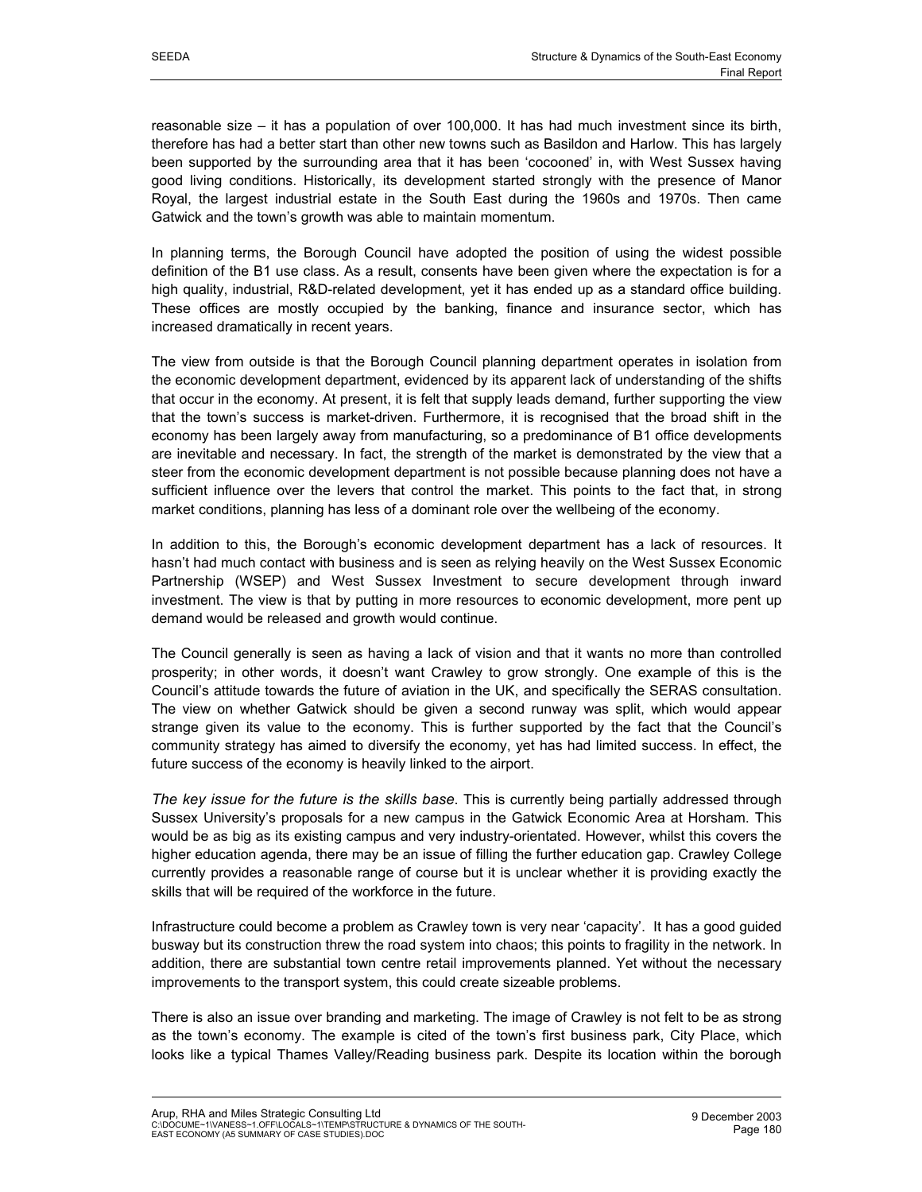reasonable size – it has a population of over 100,000. It has had much investment since its birth, therefore has had a better start than other new towns such as Basildon and Harlow. This has largely been supported by the surrounding area that it has been 'cocooned' in, with West Sussex having good living conditions. Historically, its development started strongly with the presence of Manor Royal, the largest industrial estate in the South East during the 1960s and 1970s. Then came Gatwick and the town's growth was able to maintain momentum.

In planning terms, the Borough Council have adopted the position of using the widest possible definition of the B1 use class. As a result, consents have been given where the expectation is for a high quality, industrial, R&D-related development, yet it has ended up as a standard office building. These offices are mostly occupied by the banking, finance and insurance sector, which has increased dramatically in recent years.

The view from outside is that the Borough Council planning department operates in isolation from the economic development department, evidenced by its apparent lack of understanding of the shifts that occur in the economy. At present, it is felt that supply leads demand, further supporting the view that the town's success is market-driven. Furthermore, it is recognised that the broad shift in the economy has been largely away from manufacturing, so a predominance of B1 office developments are inevitable and necessary. In fact, the strength of the market is demonstrated by the view that a steer from the economic development department is not possible because planning does not have a sufficient influence over the levers that control the market. This points to the fact that, in strong market conditions, planning has less of a dominant role over the wellbeing of the economy.

In addition to this, the Borough's economic development department has a lack of resources. It hasn't had much contact with business and is seen as relying heavily on the West Sussex Economic Partnership (WSEP) and West Sussex Investment to secure development through inward investment. The view is that by putting in more resources to economic development, more pent up demand would be released and growth would continue.

The Council generally is seen as having a lack of vision and that it wants no more than controlled prosperity; in other words, it doesn't want Crawley to grow strongly. One example of this is the Council's attitude towards the future of aviation in the UK, and specifically the SERAS consultation. The view on whether Gatwick should be given a second runway was split, which would appear strange given its value to the economy. This is further supported by the fact that the Council's community strategy has aimed to diversify the economy, yet has had limited success. In effect, the future success of the economy is heavily linked to the airport.

*The key issue for the future is the skills base*. This is currently being partially addressed through Sussex University's proposals for a new campus in the Gatwick Economic Area at Horsham. This would be as big as its existing campus and very industry-orientated. However, whilst this covers the higher education agenda, there may be an issue of filling the further education gap. Crawley College currently provides a reasonable range of course but it is unclear whether it is providing exactly the skills that will be required of the workforce in the future.

Infrastructure could become a problem as Crawley town is very near 'capacity'. It has a good guided busway but its construction threw the road system into chaos; this points to fragility in the network. In addition, there are substantial town centre retail improvements planned. Yet without the necessary improvements to the transport system, this could create sizeable problems.

There is also an issue over branding and marketing. The image of Crawley is not felt to be as strong as the town's economy. The example is cited of the town's first business park, City Place, which looks like a typical Thames Valley/Reading business park. Despite its location within the borough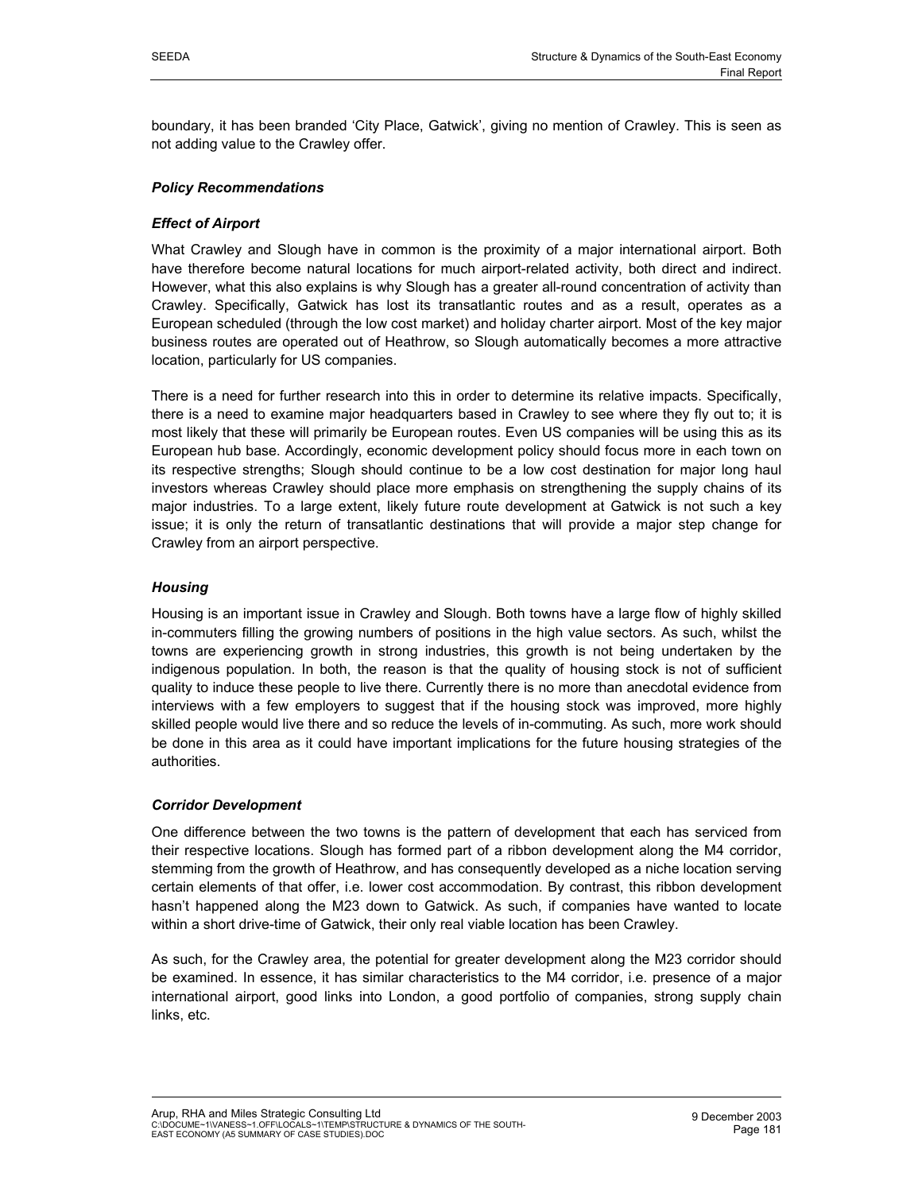boundary, it has been branded 'City Place, Gatwick', giving no mention of Crawley. This is seen as not adding value to the Crawley offer.

## *Policy Recommendations*

## *Effect of Airport*

What Crawley and Slough have in common is the proximity of a major international airport. Both have therefore become natural locations for much airport-related activity, both direct and indirect. However, what this also explains is why Slough has a greater all-round concentration of activity than Crawley. Specifically, Gatwick has lost its transatlantic routes and as a result, operates as a European scheduled (through the low cost market) and holiday charter airport. Most of the key major business routes are operated out of Heathrow, so Slough automatically becomes a more attractive location, particularly for US companies.

There is a need for further research into this in order to determine its relative impacts. Specifically, there is a need to examine major headquarters based in Crawley to see where they fly out to; it is most likely that these will primarily be European routes. Even US companies will be using this as its European hub base. Accordingly, economic development policy should focus more in each town on its respective strengths; Slough should continue to be a low cost destination for major long haul investors whereas Crawley should place more emphasis on strengthening the supply chains of its major industries. To a large extent, likely future route development at Gatwick is not such a key issue; it is only the return of transatlantic destinations that will provide a major step change for Crawley from an airport perspective.

## *Housing*

Housing is an important issue in Crawley and Slough. Both towns have a large flow of highly skilled in-commuters filling the growing numbers of positions in the high value sectors. As such, whilst the towns are experiencing growth in strong industries, this growth is not being undertaken by the indigenous population. In both, the reason is that the quality of housing stock is not of sufficient quality to induce these people to live there. Currently there is no more than anecdotal evidence from interviews with a few employers to suggest that if the housing stock was improved, more highly skilled people would live there and so reduce the levels of in-commuting. As such, more work should be done in this area as it could have important implications for the future housing strategies of the authorities.

## *Corridor Development*

One difference between the two towns is the pattern of development that each has serviced from their respective locations. Slough has formed part of a ribbon development along the M4 corridor, stemming from the growth of Heathrow, and has consequently developed as a niche location serving certain elements of that offer, i.e. lower cost accommodation. By contrast, this ribbon development hasn't happened along the M23 down to Gatwick. As such, if companies have wanted to locate within a short drive-time of Gatwick, their only real viable location has been Crawley.

As such, for the Crawley area, the potential for greater development along the M23 corridor should be examined. In essence, it has similar characteristics to the M4 corridor, i.e. presence of a major international airport, good links into London, a good portfolio of companies, strong supply chain links, etc.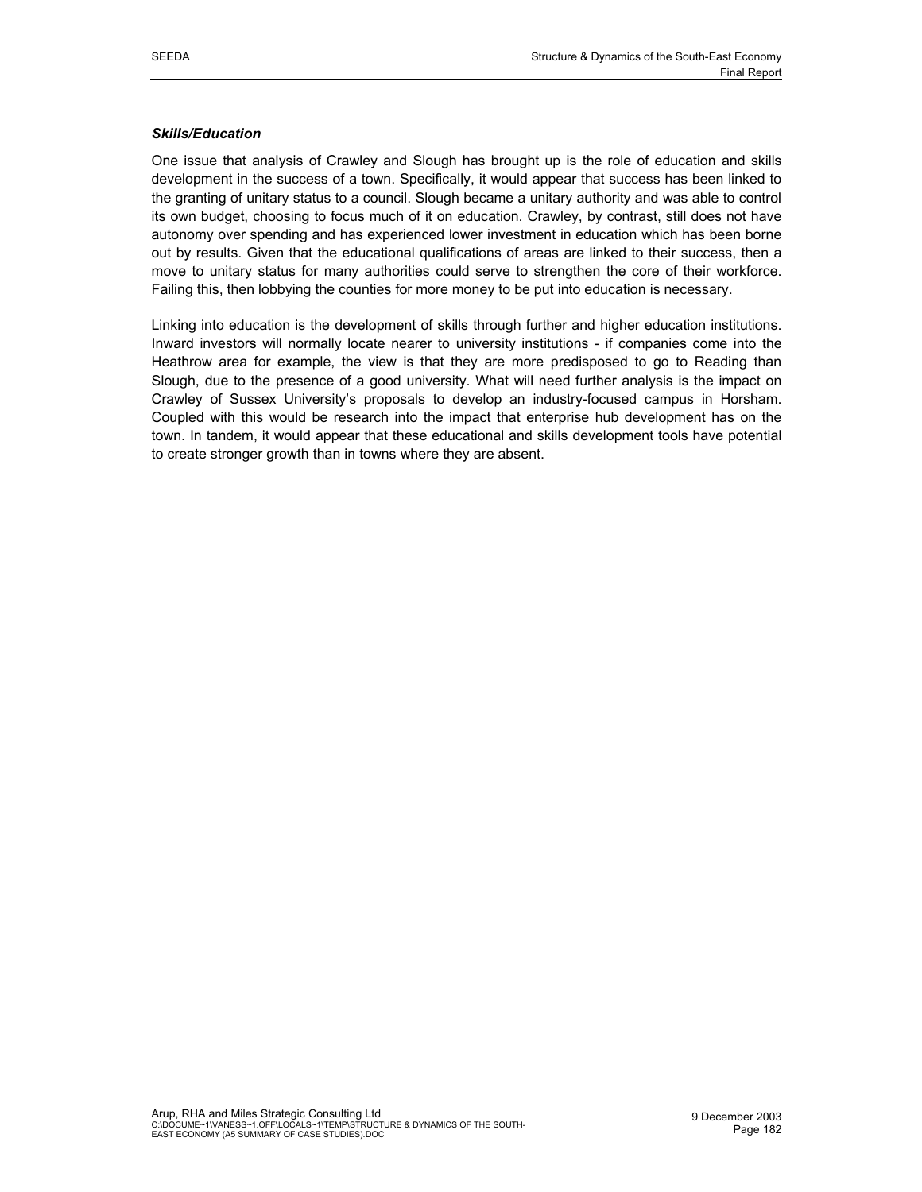#### *Skills/Education*

One issue that analysis of Crawley and Slough has brought up is the role of education and skills development in the success of a town. Specifically, it would appear that success has been linked to the granting of unitary status to a council. Slough became a unitary authority and was able to control its own budget, choosing to focus much of it on education. Crawley, by contrast, still does not have autonomy over spending and has experienced lower investment in education which has been borne out by results. Given that the educational qualifications of areas are linked to their success, then a move to unitary status for many authorities could serve to strengthen the core of their workforce. Failing this, then lobbying the counties for more money to be put into education is necessary.

Linking into education is the development of skills through further and higher education institutions. Inward investors will normally locate nearer to university institutions - if companies come into the Heathrow area for example, the view is that they are more predisposed to go to Reading than Slough, due to the presence of a good university. What will need further analysis is the impact on Crawley of Sussex University's proposals to develop an industry-focused campus in Horsham. Coupled with this would be research into the impact that enterprise hub development has on the town. In tandem, it would appear that these educational and skills development tools have potential to create stronger growth than in towns where they are absent.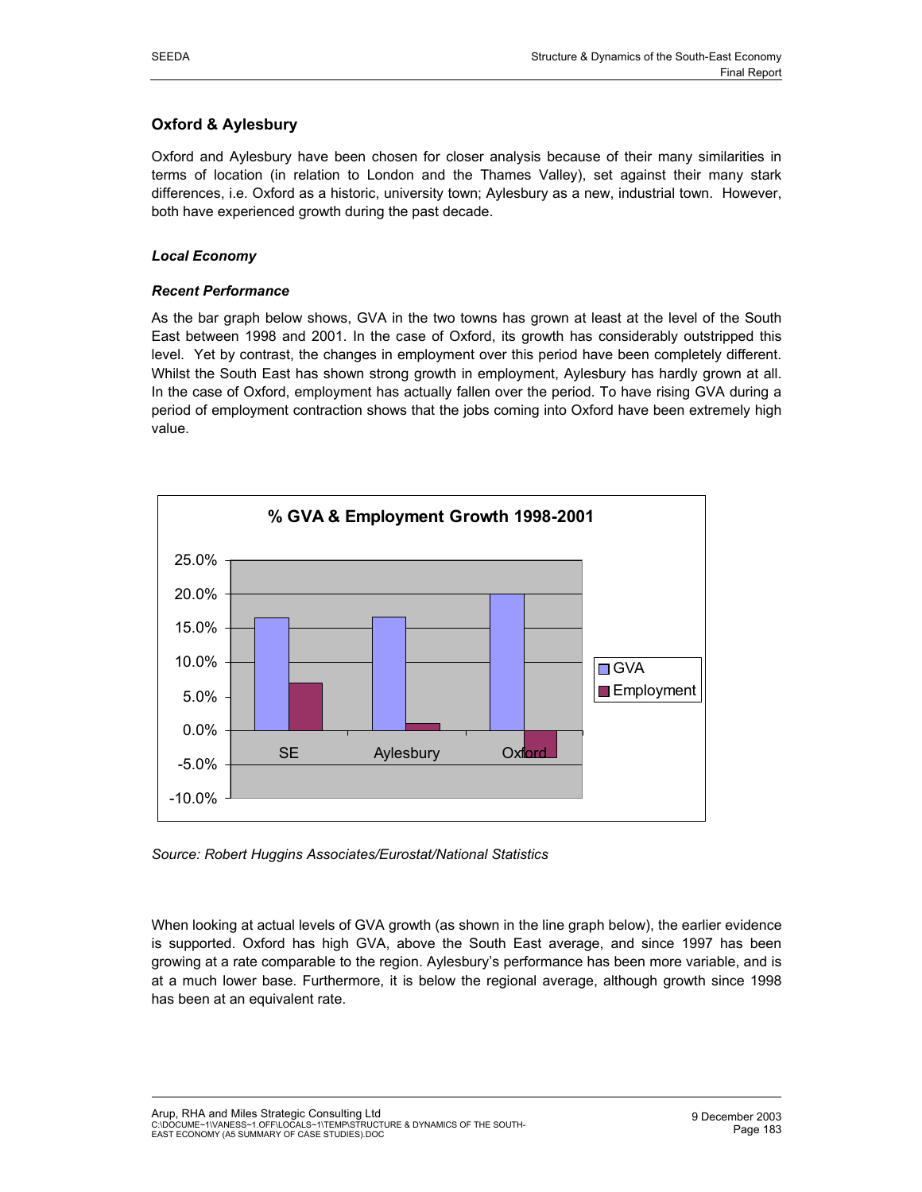# **Oxford & Aylesbury**

Oxford and Aylesbury have been chosen for closer analysis because of their many similarities in terms of location (in relation to London and the Thames Valley), set against their many stark differences, i.e. Oxford as a historic, university town; Aylesbury as a new, industrial town. However, both have experienced growth during the past decade.

## *Local Economy*

## *Recent Performance*

As the bar graph below shows, GVA in the two towns has grown at least at the level of the South East between 1998 and 2001. In the case of Oxford, its growth has considerably outstripped this level. Yet by contrast, the changes in employment over this period have been completely different. Whilst the South East has shown strong growth in employment, Aylesbury has hardly grown at all. In the case of Oxford, employment has actually fallen over the period. To have rising GVA during a period of employment contraction shows that the jobs coming into Oxford have been extremely high value.



*Source: Robert Huggins Associates/Eurostat/National Statistics* 

When looking at actual levels of GVA growth (as shown in the line graph below), the earlier evidence is supported. Oxford has high GVA, above the South East average, and since 1997 has been growing at a rate comparable to the region. Aylesbury's performance has been more variable, and is at a much lower base. Furthermore, it is below the regional average, although growth since 1998 has been at an equivalent rate.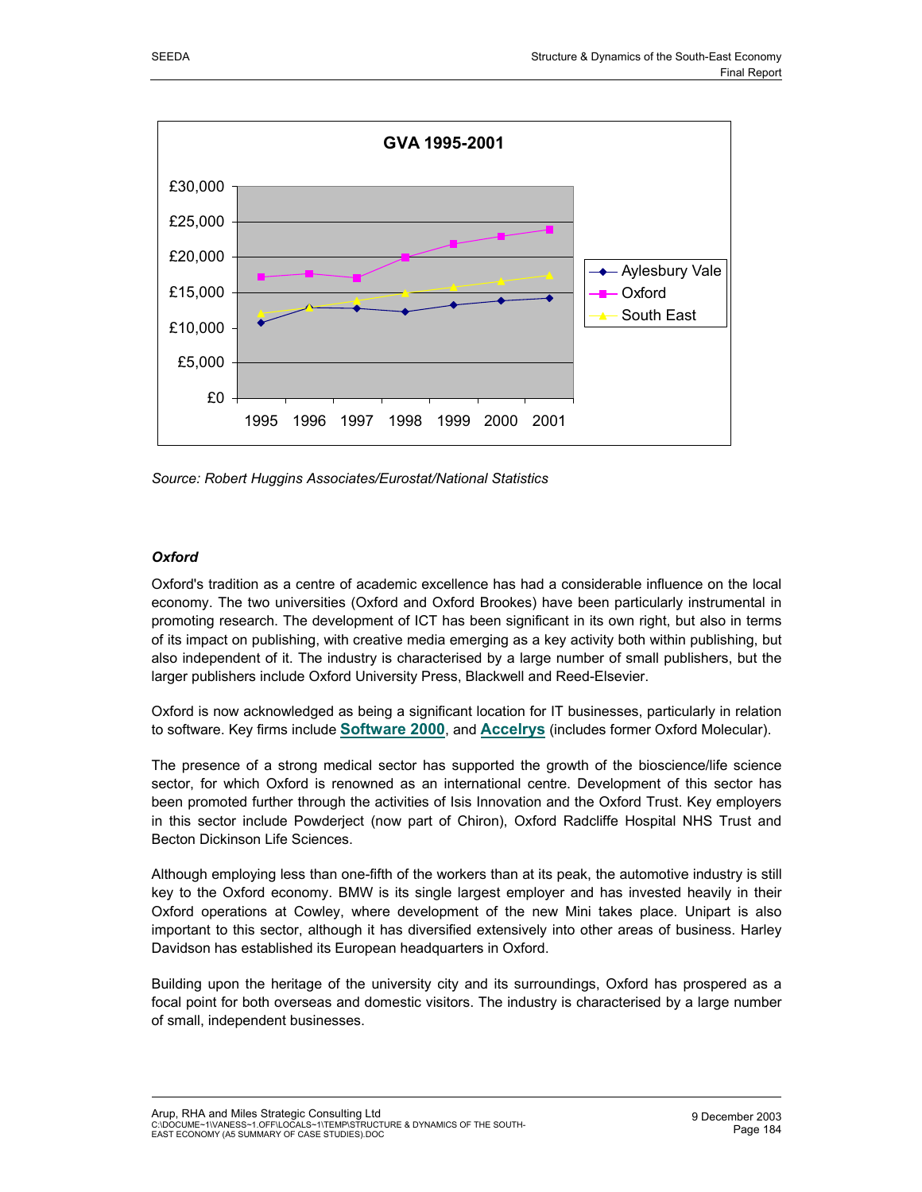

*Source: Robert Huggins Associates/Eurostat/National Statistics*

## *Oxford*

Oxford's tradition as a centre of academic excellence has had a considerable influence on the local economy. The two universities (Oxford and Oxford Brookes) have been particularly instrumental in promoting research. The development of ICT has been significant in its own right, but also in terms of its impact on publishing, with creative media emerging as a key activity both within publishing, but also independent of it. The industry is characterised by a large number of small publishers, but the larger publishers include Oxford University Press, Blackwell and Reed-Elsevier.

Oxford is now acknowledged as being a significant location for IT businesses, particularly in relation to software. Key firms include **Software 2000**, and **Accelrys** (includes former Oxford Molecular).

The presence of a strong medical sector has supported the growth of the bioscience/life science sector, for which Oxford is renowned as an international centre. Development of this sector has been promoted further through the activities of Isis Innovation and the Oxford Trust. Key employers in this sector include Powderject (now part of Chiron), Oxford Radcliffe Hospital NHS Trust and Becton Dickinson Life Sciences.

Although employing less than one-fifth of the workers than at its peak, the automotive industry is still key to the Oxford economy. BMW is its single largest employer and has invested heavily in their Oxford operations at Cowley, where development of the new Mini takes place. Unipart is also important to this sector, although it has diversified extensively into other areas of business. Harley Davidson has established its European headquarters in Oxford.

Building upon the heritage of the university city and its surroundings, Oxford has prospered as a focal point for both overseas and domestic visitors. The industry is characterised by a large number of small, independent businesses.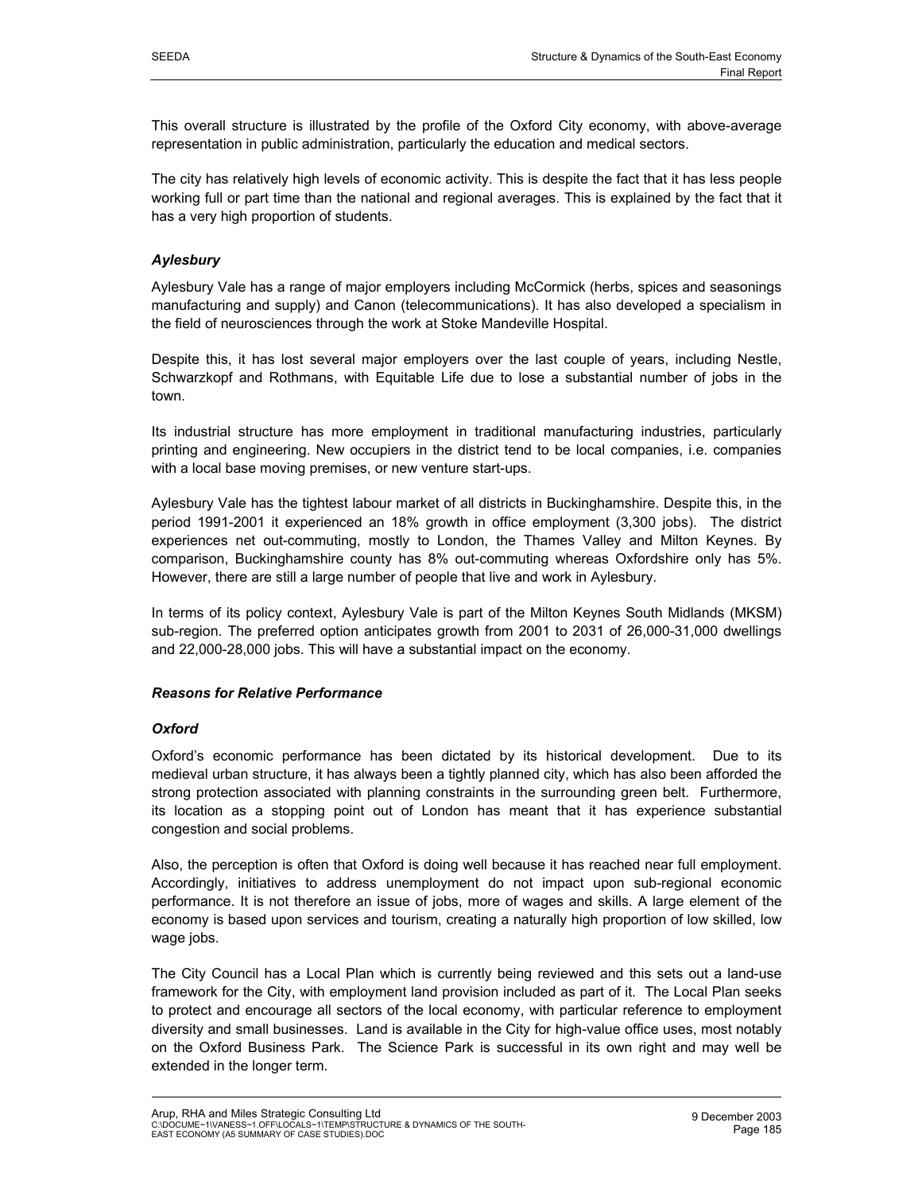This overall structure is illustrated by the profile of the Oxford City economy, with above-average representation in public administration, particularly the education and medical sectors.

The city has relatively high levels of economic activity. This is despite the fact that it has less people working full or part time than the national and regional averages. This is explained by the fact that it has a very high proportion of students.

## *Aylesbury*

Aylesbury Vale has a range of major employers including McCormick (herbs, spices and seasonings manufacturing and supply) and Canon (telecommunications). It has also developed a specialism in the field of neurosciences through the work at Stoke Mandeville Hospital.

Despite this, it has lost several major employers over the last couple of years, including Nestle, Schwarzkopf and Rothmans, with Equitable Life due to lose a substantial number of jobs in the town.

Its industrial structure has more employment in traditional manufacturing industries, particularly printing and engineering. New occupiers in the district tend to be local companies, i.e. companies with a local base moving premises, or new venture start-ups.

Aylesbury Vale has the tightest labour market of all districts in Buckinghamshire. Despite this, in the period 1991-2001 it experienced an 18% growth in office employment (3,300 jobs). The district experiences net out-commuting, mostly to London, the Thames Valley and Milton Keynes. By comparison, Buckinghamshire county has 8% out-commuting whereas Oxfordshire only has 5%. However, there are still a large number of people that live and work in Aylesbury.

In terms of its policy context, Aylesbury Vale is part of the Milton Keynes South Midlands (MKSM) sub-region. The preferred option anticipates growth from 2001 to 2031 of 26,000-31,000 dwellings and 22,000-28,000 jobs. This will have a substantial impact on the economy.

## *Reasons for Relative Performance*

## *Oxford*

Oxford's economic performance has been dictated by its historical development. Due to its medieval urban structure, it has always been a tightly planned city, which has also been afforded the strong protection associated with planning constraints in the surrounding green belt. Furthermore, its location as a stopping point out of London has meant that it has experience substantial congestion and social problems.

Also, the perception is often that Oxford is doing well because it has reached near full employment. Accordingly, initiatives to address unemployment do not impact upon sub-regional economic performance. It is not therefore an issue of jobs, more of wages and skills. A large element of the economy is based upon services and tourism, creating a naturally high proportion of low skilled, low wage jobs.

The City Council has a Local Plan which is currently being reviewed and this sets out a land-use framework for the City, with employment land provision included as part of it. The Local Plan seeks to protect and encourage all sectors of the local economy, with particular reference to employment diversity and small businesses. Land is available in the City for high-value office uses, most notably on the Oxford Business Park. The Science Park is successful in its own right and may well be extended in the longer term.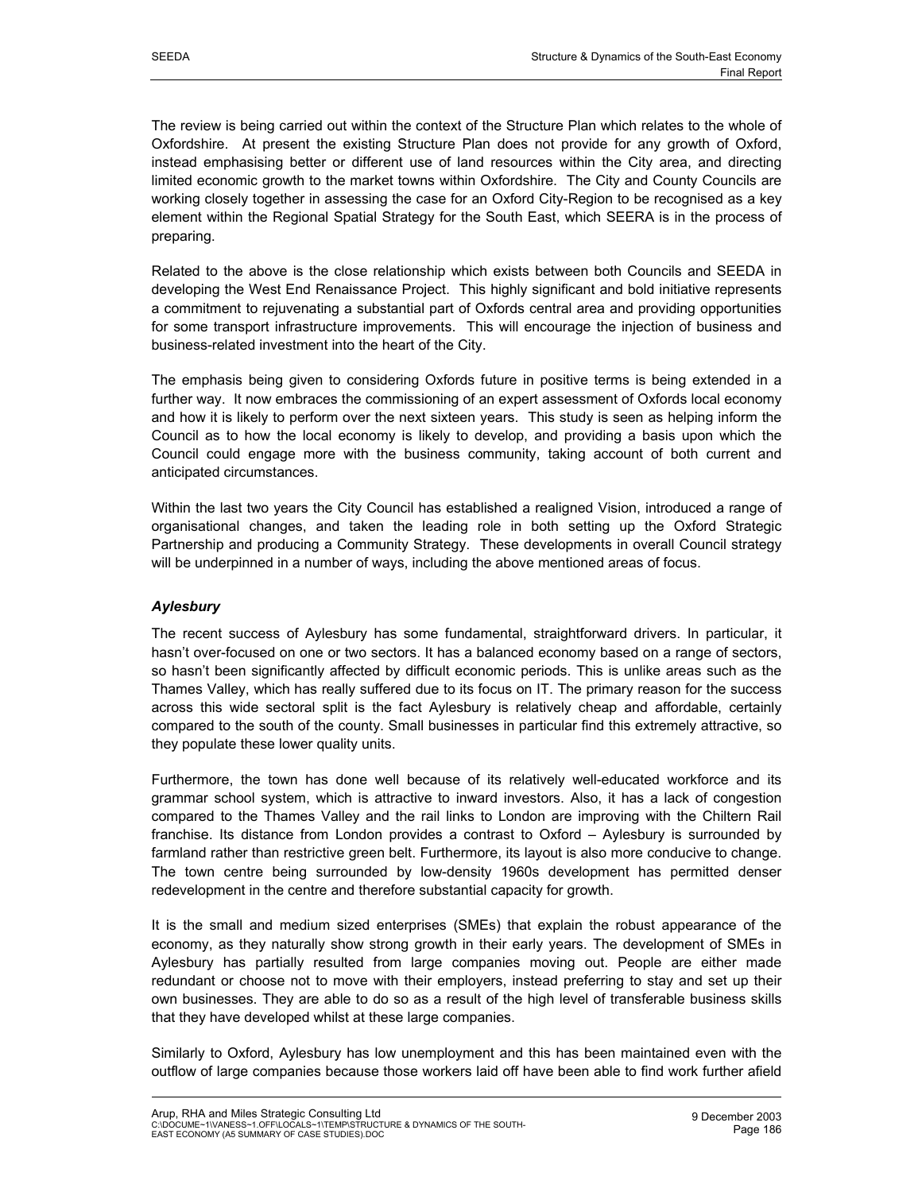The review is being carried out within the context of the Structure Plan which relates to the whole of Oxfordshire. At present the existing Structure Plan does not provide for any growth of Oxford, instead emphasising better or different use of land resources within the City area, and directing limited economic growth to the market towns within Oxfordshire. The City and County Councils are working closely together in assessing the case for an Oxford City-Region to be recognised as a key element within the Regional Spatial Strategy for the South East, which SEERA is in the process of preparing.

Related to the above is the close relationship which exists between both Councils and SEEDA in developing the West End Renaissance Project. This highly significant and bold initiative represents a commitment to rejuvenating a substantial part of Oxfords central area and providing opportunities for some transport infrastructure improvements. This will encourage the injection of business and business-related investment into the heart of the City.

The emphasis being given to considering Oxfords future in positive terms is being extended in a further way. It now embraces the commissioning of an expert assessment of Oxfords local economy and how it is likely to perform over the next sixteen years. This study is seen as helping inform the Council as to how the local economy is likely to develop, and providing a basis upon which the Council could engage more with the business community, taking account of both current and anticipated circumstances.

Within the last two years the City Council has established a realigned Vision, introduced a range of organisational changes, and taken the leading role in both setting up the Oxford Strategic Partnership and producing a Community Strategy. These developments in overall Council strategy will be underpinned in a number of ways, including the above mentioned areas of focus.

## *Aylesbury*

The recent success of Aylesbury has some fundamental, straightforward drivers. In particular, it hasn't over-focused on one or two sectors. It has a balanced economy based on a range of sectors, so hasn't been significantly affected by difficult economic periods. This is unlike areas such as the Thames Valley, which has really suffered due to its focus on IT. The primary reason for the success across this wide sectoral split is the fact Aylesbury is relatively cheap and affordable, certainly compared to the south of the county. Small businesses in particular find this extremely attractive, so they populate these lower quality units.

Furthermore, the town has done well because of its relatively well-educated workforce and its grammar school system, which is attractive to inward investors. Also, it has a lack of congestion compared to the Thames Valley and the rail links to London are improving with the Chiltern Rail franchise. Its distance from London provides a contrast to Oxford – Aylesbury is surrounded by farmland rather than restrictive green belt. Furthermore, its layout is also more conducive to change. The town centre being surrounded by low-density 1960s development has permitted denser redevelopment in the centre and therefore substantial capacity for growth.

It is the small and medium sized enterprises (SMEs) that explain the robust appearance of the economy, as they naturally show strong growth in their early years. The development of SMEs in Aylesbury has partially resulted from large companies moving out. People are either made redundant or choose not to move with their employers, instead preferring to stay and set up their own businesses. They are able to do so as a result of the high level of transferable business skills that they have developed whilst at these large companies.

Similarly to Oxford, Aylesbury has low unemployment and this has been maintained even with the outflow of large companies because those workers laid off have been able to find work further afield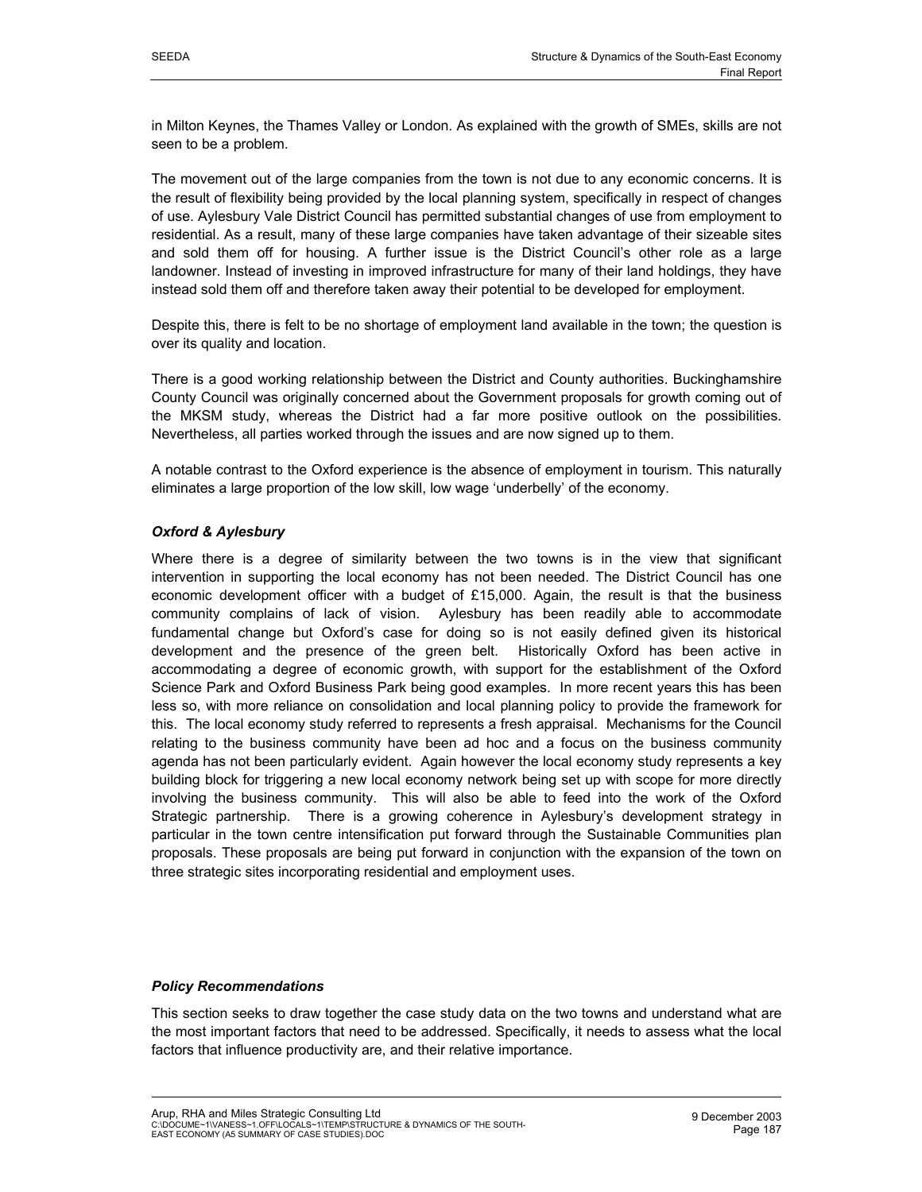in Milton Keynes, the Thames Valley or London. As explained with the growth of SMEs, skills are not seen to be a problem.

The movement out of the large companies from the town is not due to any economic concerns. It is the result of flexibility being provided by the local planning system, specifically in respect of changes of use. Aylesbury Vale District Council has permitted substantial changes of use from employment to residential. As a result, many of these large companies have taken advantage of their sizeable sites and sold them off for housing. A further issue is the District Council's other role as a large landowner. Instead of investing in improved infrastructure for many of their land holdings, they have instead sold them off and therefore taken away their potential to be developed for employment.

Despite this, there is felt to be no shortage of employment land available in the town; the question is over its quality and location.

There is a good working relationship between the District and County authorities. Buckinghamshire County Council was originally concerned about the Government proposals for growth coming out of the MKSM study, whereas the District had a far more positive outlook on the possibilities. Nevertheless, all parties worked through the issues and are now signed up to them.

A notable contrast to the Oxford experience is the absence of employment in tourism. This naturally eliminates a large proportion of the low skill, low wage 'underbelly' of the economy.

## *Oxford & Aylesbury*

Where there is a degree of similarity between the two towns is in the view that significant intervention in supporting the local economy has not been needed. The District Council has one economic development officer with a budget of £15,000. Again, the result is that the business community complains of lack of vision. Aylesbury has been readily able to accommodate fundamental change but Oxford's case for doing so is not easily defined given its historical development and the presence of the green belt. Historically Oxford has been active in accommodating a degree of economic growth, with support for the establishment of the Oxford Science Park and Oxford Business Park being good examples. In more recent years this has been less so, with more reliance on consolidation and local planning policy to provide the framework for this. The local economy study referred to represents a fresh appraisal. Mechanisms for the Council relating to the business community have been ad hoc and a focus on the business community agenda has not been particularly evident. Again however the local economy study represents a key building block for triggering a new local economy network being set up with scope for more directly involving the business community. This will also be able to feed into the work of the Oxford Strategic partnership. There is a growing coherence in Aylesbury's development strategy in particular in the town centre intensification put forward through the Sustainable Communities plan proposals. These proposals are being put forward in conjunction with the expansion of the town on three strategic sites incorporating residential and employment uses.

## *Policy Recommendations*

This section seeks to draw together the case study data on the two towns and understand what are the most important factors that need to be addressed. Specifically, it needs to assess what the local factors that influence productivity are, and their relative importance.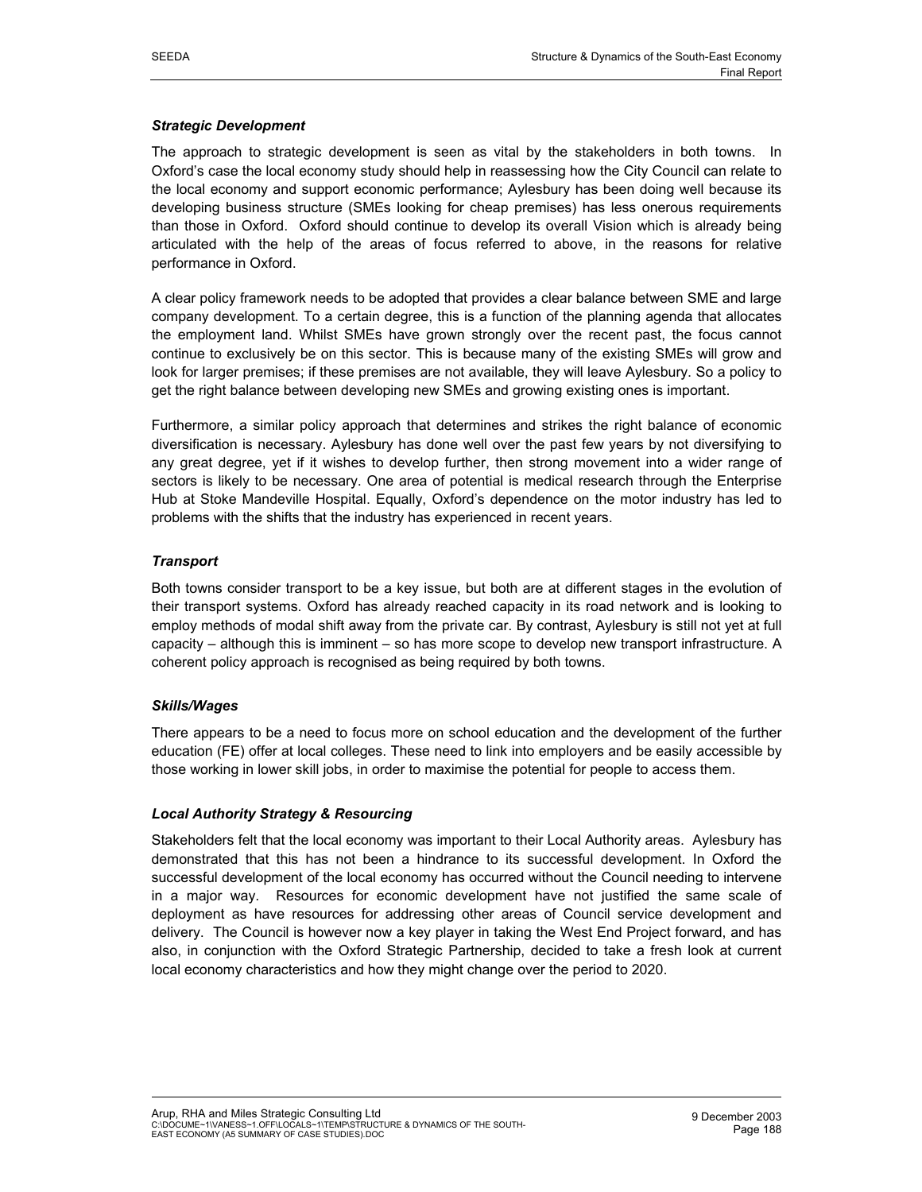## *Strategic Development*

The approach to strategic development is seen as vital by the stakeholders in both towns. In Oxford's case the local economy study should help in reassessing how the City Council can relate to the local economy and support economic performance; Aylesbury has been doing well because its developing business structure (SMEs looking for cheap premises) has less onerous requirements than those in Oxford. Oxford should continue to develop its overall Vision which is already being articulated with the help of the areas of focus referred to above, in the reasons for relative performance in Oxford.

A clear policy framework needs to be adopted that provides a clear balance between SME and large company development. To a certain degree, this is a function of the planning agenda that allocates the employment land. Whilst SMEs have grown strongly over the recent past, the focus cannot continue to exclusively be on this sector. This is because many of the existing SMEs will grow and look for larger premises; if these premises are not available, they will leave Aylesbury. So a policy to get the right balance between developing new SMEs and growing existing ones is important.

Furthermore, a similar policy approach that determines and strikes the right balance of economic diversification is necessary. Aylesbury has done well over the past few years by not diversifying to any great degree, yet if it wishes to develop further, then strong movement into a wider range of sectors is likely to be necessary. One area of potential is medical research through the Enterprise Hub at Stoke Mandeville Hospital. Equally, Oxford's dependence on the motor industry has led to problems with the shifts that the industry has experienced in recent years.

## *Transport*

Both towns consider transport to be a key issue, but both are at different stages in the evolution of their transport systems. Oxford has already reached capacity in its road network and is looking to employ methods of modal shift away from the private car. By contrast, Aylesbury is still not yet at full capacity – although this is imminent – so has more scope to develop new transport infrastructure. A coherent policy approach is recognised as being required by both towns.

## *Skills/Wages*

There appears to be a need to focus more on school education and the development of the further education (FE) offer at local colleges. These need to link into employers and be easily accessible by those working in lower skill jobs, in order to maximise the potential for people to access them.

## *Local Authority Strategy & Resourcing*

Stakeholders felt that the local economy was important to their Local Authority areas. Aylesbury has demonstrated that this has not been a hindrance to its successful development. In Oxford the successful development of the local economy has occurred without the Council needing to intervene in a major way. Resources for economic development have not justified the same scale of deployment as have resources for addressing other areas of Council service development and delivery. The Council is however now a key player in taking the West End Project forward, and has also, in conjunction with the Oxford Strategic Partnership, decided to take a fresh look at current local economy characteristics and how they might change over the period to 2020.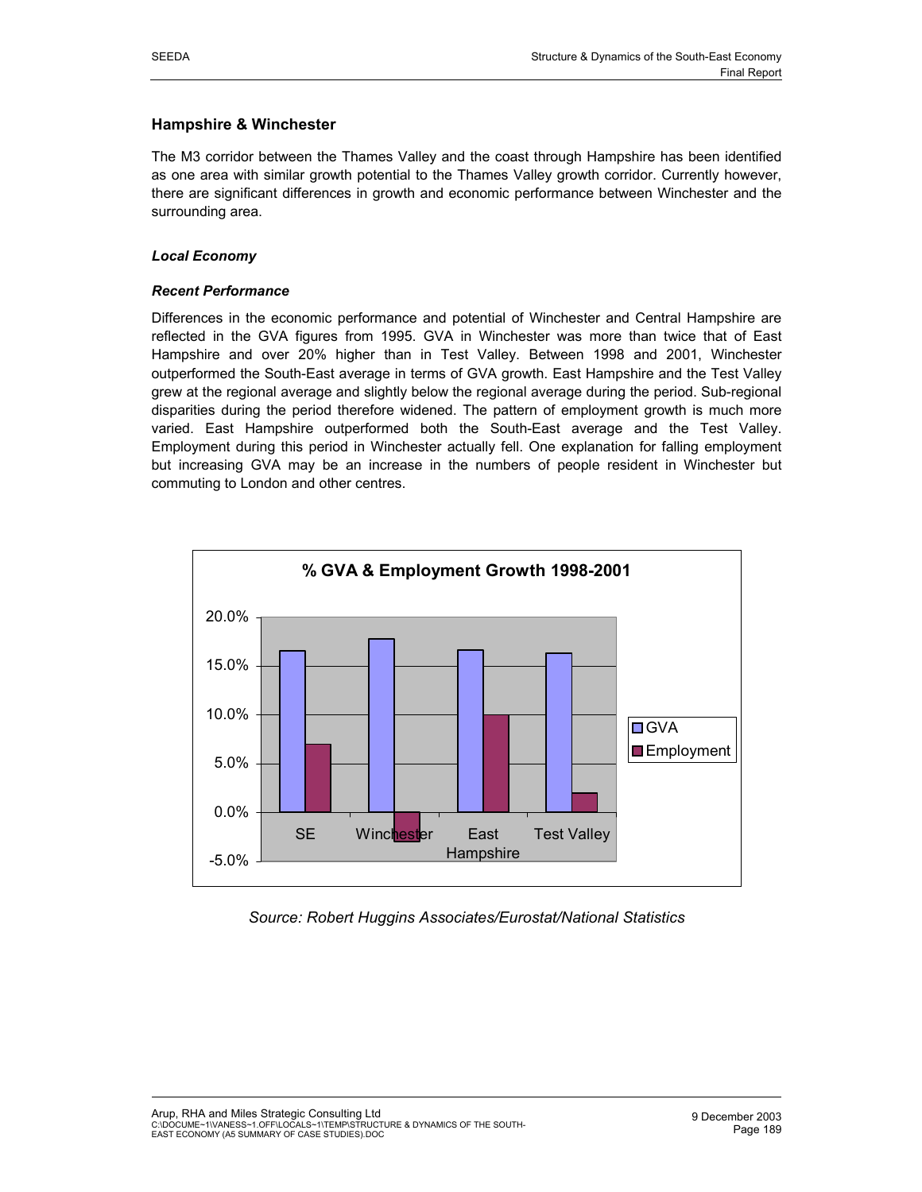## **Hampshire & Winchester**

The M3 corridor between the Thames Valley and the coast through Hampshire has been identified as one area with similar growth potential to the Thames Valley growth corridor. Currently however, there are significant differences in growth and economic performance between Winchester and the surrounding area.

## *Local Economy*

## *Recent Performance*

Differences in the economic performance and potential of Winchester and Central Hampshire are reflected in the GVA figures from 1995. GVA in Winchester was more than twice that of East Hampshire and over 20% higher than in Test Valley. Between 1998 and 2001, Winchester outperformed the South-East average in terms of GVA growth. East Hampshire and the Test Valley grew at the regional average and slightly below the regional average during the period. Sub-regional disparities during the period therefore widened. The pattern of employment growth is much more varied. East Hampshire outperformed both the South-East average and the Test Valley. Employment during this period in Winchester actually fell. One explanation for falling employment but increasing GVA may be an increase in the numbers of people resident in Winchester but commuting to London and other centres.



## *Source: Robert Huggins Associates/Eurostat/National Statistics*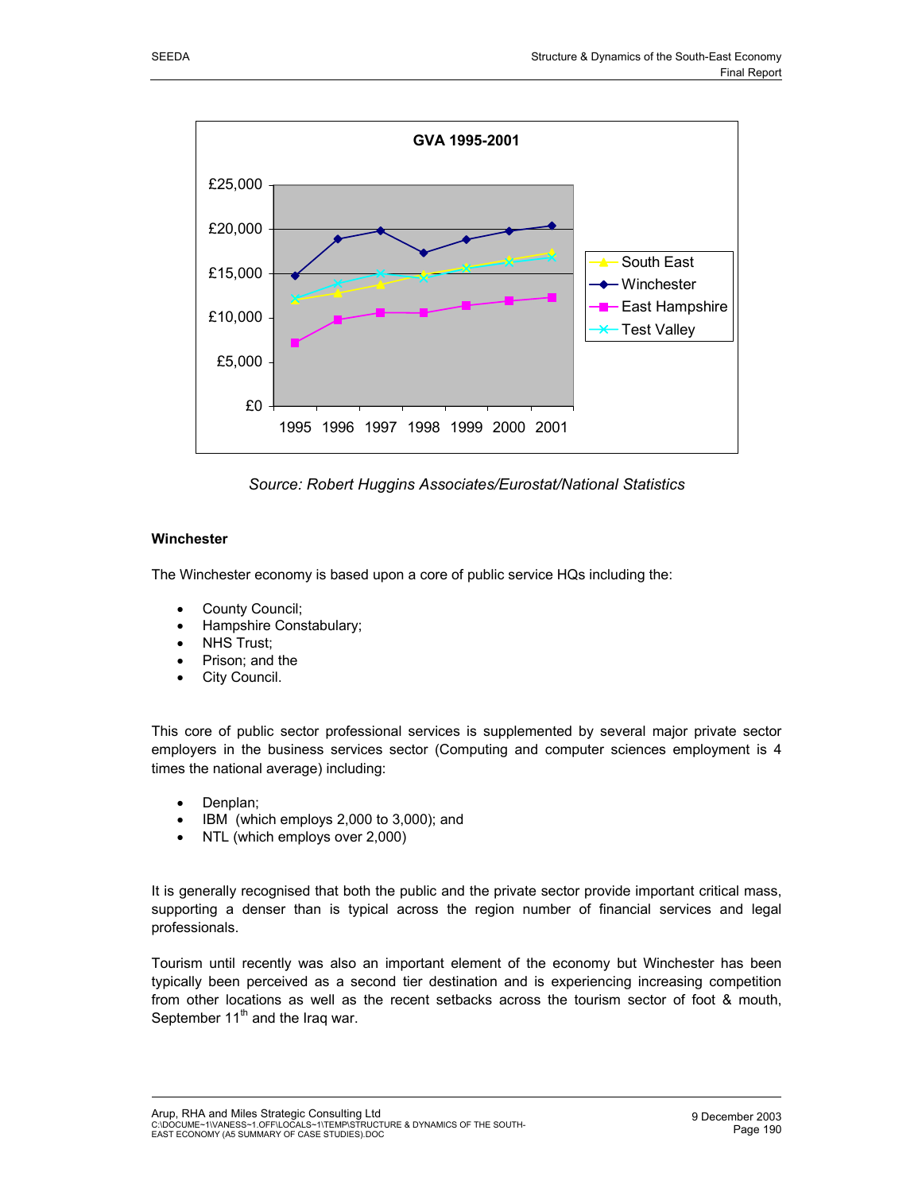

*Source: Robert Huggins Associates/Eurostat/National Statistics* 

#### **Winchester**

The Winchester economy is based upon a core of public service HQs including the:

- County Council;
- Hampshire Constabulary;
- NHS Trust:
- Prison; and the
- City Council.

This core of public sector professional services is supplemented by several major private sector employers in the business services sector (Computing and computer sciences employment is 4 times the national average) including:

- Denplan;
- IBM (which employs 2,000 to 3,000); and
- NTL (which employs over 2,000)

It is generally recognised that both the public and the private sector provide important critical mass, supporting a denser than is typical across the region number of financial services and legal professionals.

Tourism until recently was also an important element of the economy but Winchester has been typically been perceived as a second tier destination and is experiencing increasing competition from other locations as well as the recent setbacks across the tourism sector of foot & mouth, September  $11<sup>th</sup>$  and the Iraq war.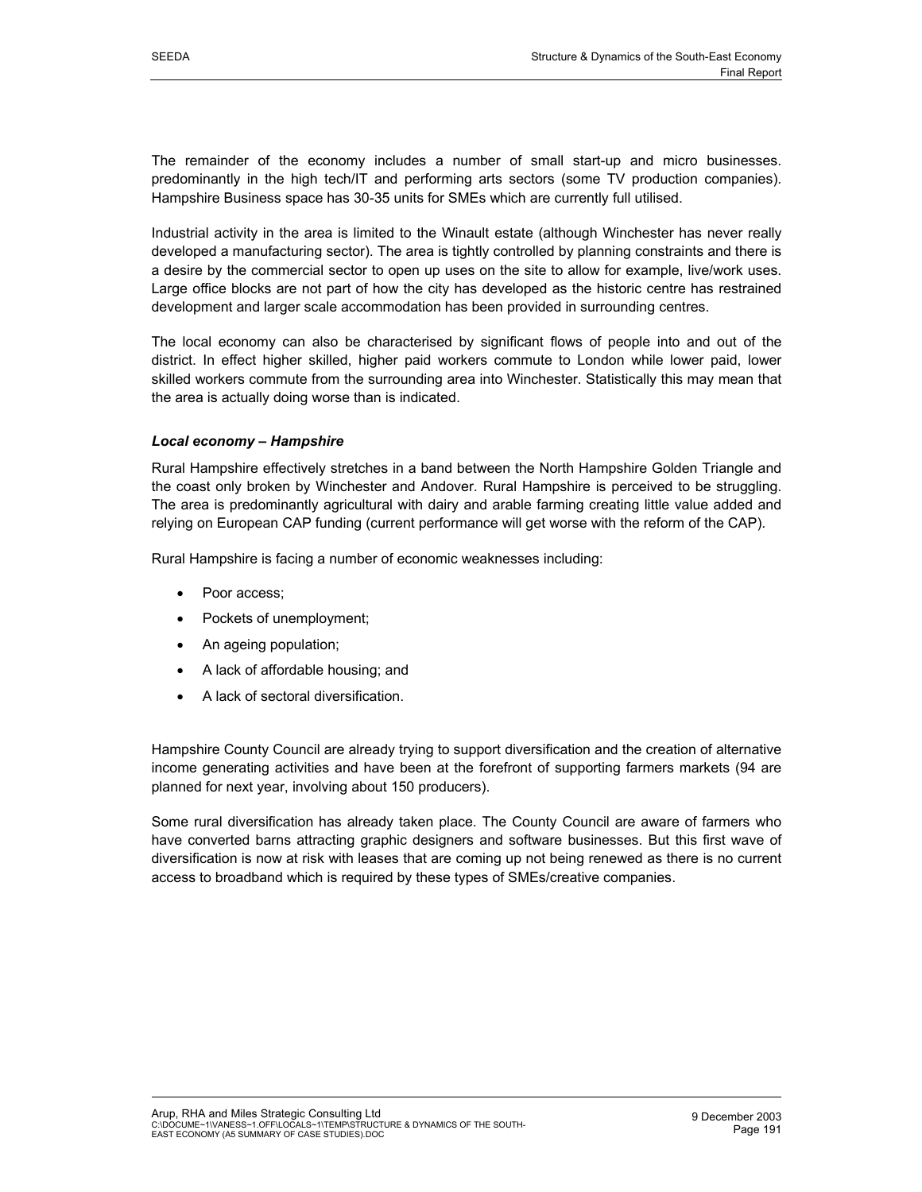The remainder of the economy includes a number of small start-up and micro businesses. predominantly in the high tech/IT and performing arts sectors (some TV production companies). Hampshire Business space has 30-35 units for SMEs which are currently full utilised.

Industrial activity in the area is limited to the Winault estate (although Winchester has never really developed a manufacturing sector). The area is tightly controlled by planning constraints and there is a desire by the commercial sector to open up uses on the site to allow for example, live/work uses. Large office blocks are not part of how the city has developed as the historic centre has restrained development and larger scale accommodation has been provided in surrounding centres.

The local economy can also be characterised by significant flows of people into and out of the district. In effect higher skilled, higher paid workers commute to London while lower paid, lower skilled workers commute from the surrounding area into Winchester. Statistically this may mean that the area is actually doing worse than is indicated.

## *Local economy – Hampshire*

Rural Hampshire effectively stretches in a band between the North Hampshire Golden Triangle and the coast only broken by Winchester and Andover. Rural Hampshire is perceived to be struggling. The area is predominantly agricultural with dairy and arable farming creating little value added and relying on European CAP funding (current performance will get worse with the reform of the CAP).

Rural Hampshire is facing a number of economic weaknesses including:

- Poor access:
- Pockets of unemployment;
- An ageing population;
- A lack of affordable housing; and
- A lack of sectoral diversification.

Hampshire County Council are already trying to support diversification and the creation of alternative income generating activities and have been at the forefront of supporting farmers markets (94 are planned for next year, involving about 150 producers).

Some rural diversification has already taken place. The County Council are aware of farmers who have converted barns attracting graphic designers and software businesses. But this first wave of diversification is now at risk with leases that are coming up not being renewed as there is no current access to broadband which is required by these types of SMEs/creative companies.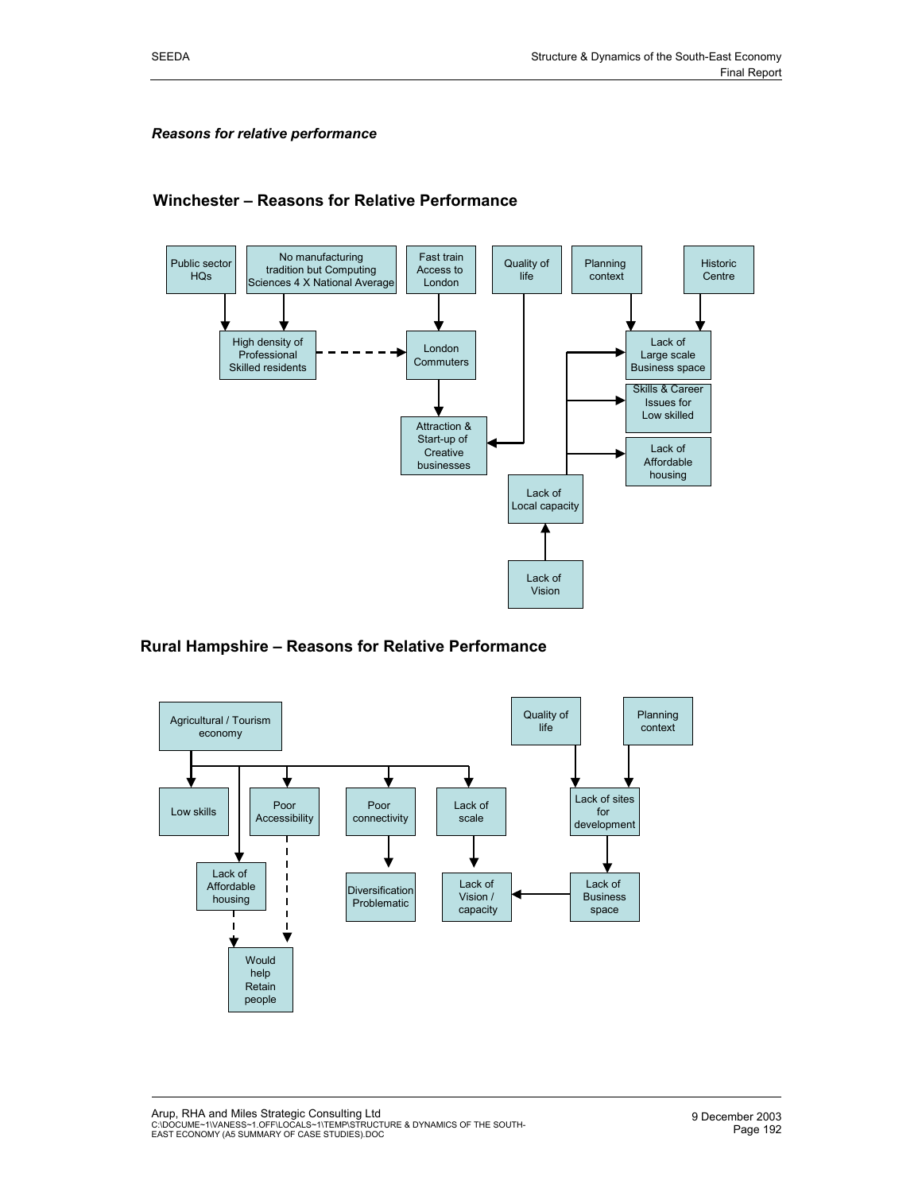#### *Reasons for relative performance*

## **Winchester – Reasons for Relative Performance**



## **Rural Hampshire – Reasons for Relative Performance**



Arup, RHA and Miles Strategic Consulting Ltd<br>C:\DOCUME~1\VANESS~1.OFF\LOCALS~1\TEMP\STRUCTURE & DYNAMICS OF THE SOUTH-<br>EAST ECONOMY (A5 SUMMARY OF CASE STUDIES).DOC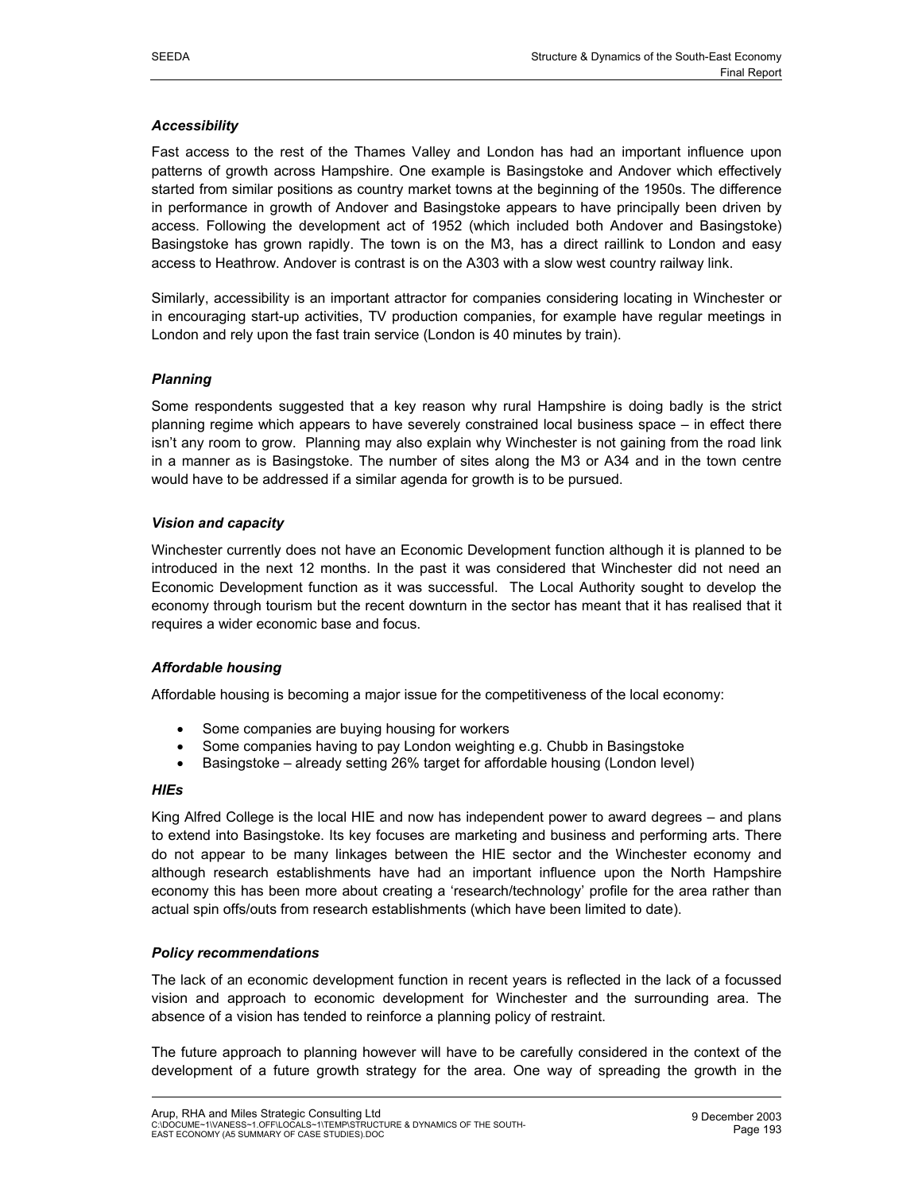## *Accessibility*

Fast access to the rest of the Thames Valley and London has had an important influence upon patterns of growth across Hampshire. One example is Basingstoke and Andover which effectively started from similar positions as country market towns at the beginning of the 1950s. The difference in performance in growth of Andover and Basingstoke appears to have principally been driven by access. Following the development act of 1952 (which included both Andover and Basingstoke) Basingstoke has grown rapidly. The town is on the M3, has a direct raillink to London and easy access to Heathrow. Andover is contrast is on the A303 with a slow west country railway link.

Similarly, accessibility is an important attractor for companies considering locating in Winchester or in encouraging start-up activities, TV production companies, for example have regular meetings in London and rely upon the fast train service (London is 40 minutes by train).

#### *Planning*

Some respondents suggested that a key reason why rural Hampshire is doing badly is the strict planning regime which appears to have severely constrained local business space – in effect there isn't any room to grow. Planning may also explain why Winchester is not gaining from the road link in a manner as is Basingstoke. The number of sites along the M3 or A34 and in the town centre would have to be addressed if a similar agenda for growth is to be pursued.

#### *Vision and capacity*

Winchester currently does not have an Economic Development function although it is planned to be introduced in the next 12 months. In the past it was considered that Winchester did not need an Economic Development function as it was successful. The Local Authority sought to develop the economy through tourism but the recent downturn in the sector has meant that it has realised that it requires a wider economic base and focus.

## *Affordable housing*

Affordable housing is becoming a major issue for the competitiveness of the local economy:

- Some companies are buying housing for workers
- Some companies having to pay London weighting e.g. Chubb in Basingstoke
- Basingstoke already setting 26% target for affordable housing (London level)

#### *HIEs*

King Alfred College is the local HIE and now has independent power to award degrees – and plans to extend into Basingstoke. Its key focuses are marketing and business and performing arts. There do not appear to be many linkages between the HIE sector and the Winchester economy and although research establishments have had an important influence upon the North Hampshire economy this has been more about creating a 'research/technology' profile for the area rather than actual spin offs/outs from research establishments (which have been limited to date).

## *Policy recommendations*

The lack of an economic development function in recent years is reflected in the lack of a focussed vision and approach to economic development for Winchester and the surrounding area. The absence of a vision has tended to reinforce a planning policy of restraint.

The future approach to planning however will have to be carefully considered in the context of the development of a future growth strategy for the area. One way of spreading the growth in the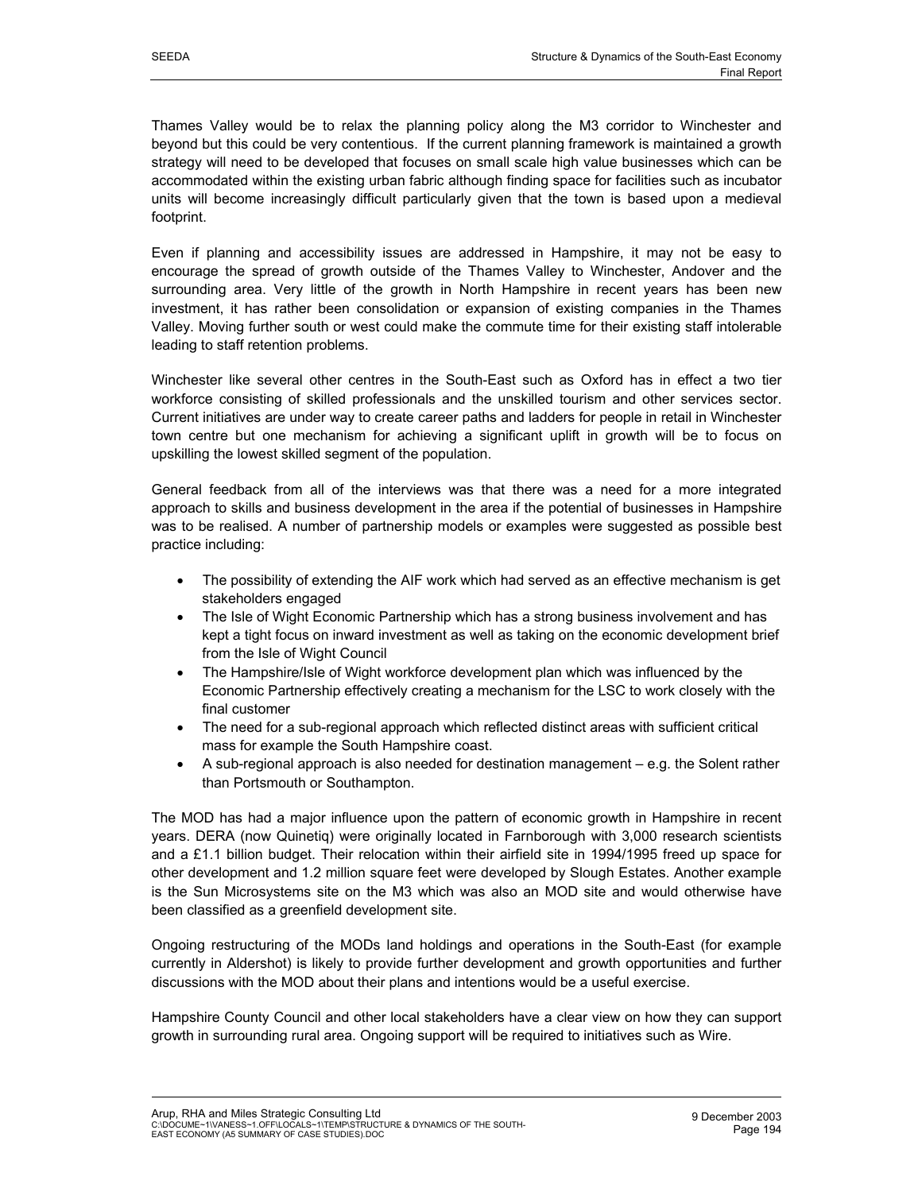Thames Valley would be to relax the planning policy along the M3 corridor to Winchester and beyond but this could be very contentious. If the current planning framework is maintained a growth strategy will need to be developed that focuses on small scale high value businesses which can be accommodated within the existing urban fabric although finding space for facilities such as incubator units will become increasingly difficult particularly given that the town is based upon a medieval footprint.

Even if planning and accessibility issues are addressed in Hampshire, it may not be easy to encourage the spread of growth outside of the Thames Valley to Winchester, Andover and the surrounding area. Very little of the growth in North Hampshire in recent years has been new investment, it has rather been consolidation or expansion of existing companies in the Thames Valley. Moving further south or west could make the commute time for their existing staff intolerable leading to staff retention problems.

Winchester like several other centres in the South-East such as Oxford has in effect a two tier workforce consisting of skilled professionals and the unskilled tourism and other services sector. Current initiatives are under way to create career paths and ladders for people in retail in Winchester town centre but one mechanism for achieving a significant uplift in growth will be to focus on upskilling the lowest skilled segment of the population.

General feedback from all of the interviews was that there was a need for a more integrated approach to skills and business development in the area if the potential of businesses in Hampshire was to be realised. A number of partnership models or examples were suggested as possible best practice including:

- The possibility of extending the AIF work which had served as an effective mechanism is get stakeholders engaged
- The Isle of Wight Economic Partnership which has a strong business involvement and has kept a tight focus on inward investment as well as taking on the economic development brief from the Isle of Wight Council
- The Hampshire/Isle of Wight workforce development plan which was influenced by the Economic Partnership effectively creating a mechanism for the LSC to work closely with the final customer
- The need for a sub-regional approach which reflected distinct areas with sufficient critical mass for example the South Hampshire coast.
- A sub-regional approach is also needed for destination management e.g. the Solent rather than Portsmouth or Southampton.

The MOD has had a major influence upon the pattern of economic growth in Hampshire in recent years. DERA (now Quinetiq) were originally located in Farnborough with 3,000 research scientists and a £1.1 billion budget. Their relocation within their airfield site in 1994/1995 freed up space for other development and 1.2 million square feet were developed by Slough Estates. Another example is the Sun Microsystems site on the M3 which was also an MOD site and would otherwise have been classified as a greenfield development site.

Ongoing restructuring of the MODs land holdings and operations in the South-East (for example currently in Aldershot) is likely to provide further development and growth opportunities and further discussions with the MOD about their plans and intentions would be a useful exercise.

Hampshire County Council and other local stakeholders have a clear view on how they can support growth in surrounding rural area. Ongoing support will be required to initiatives such as Wire.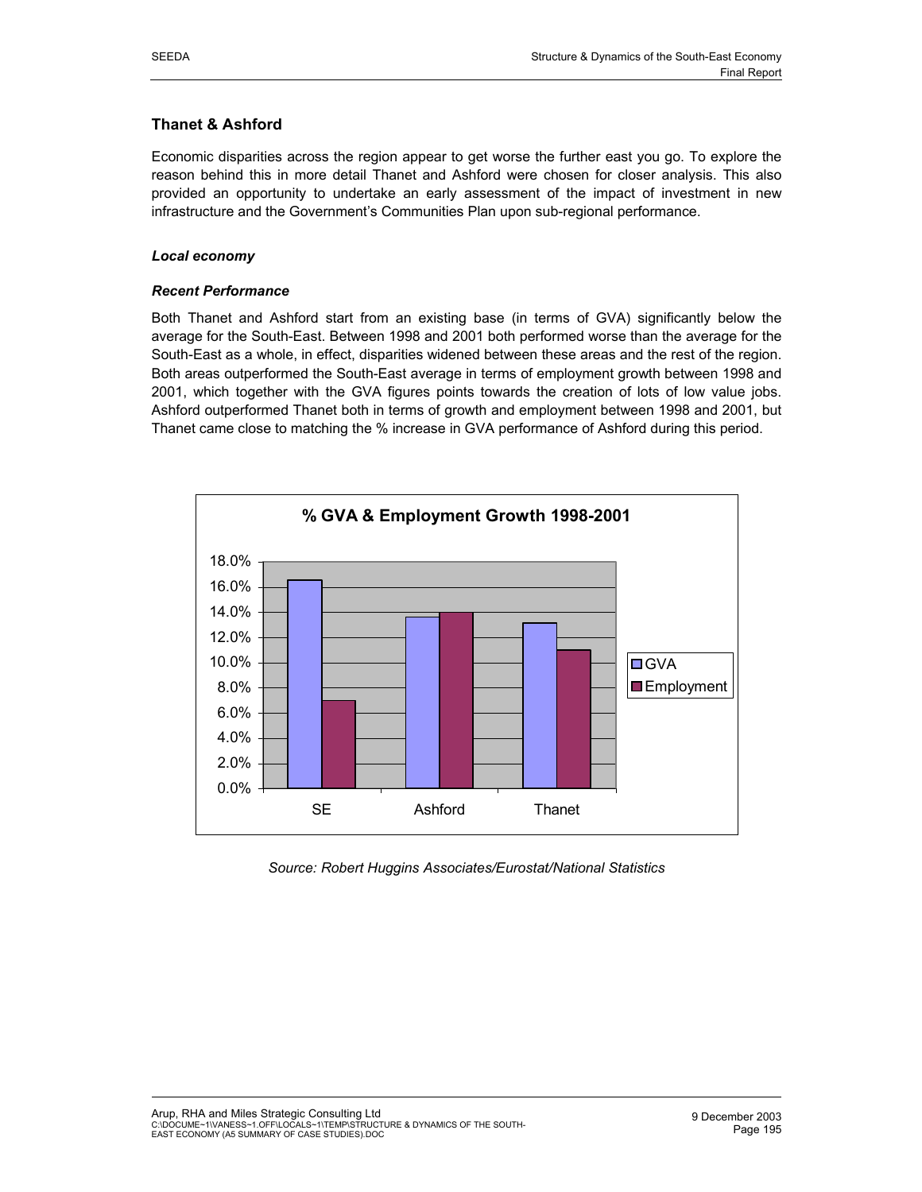# **Thanet & Ashford**

Economic disparities across the region appear to get worse the further east you go. To explore the reason behind this in more detail Thanet and Ashford were chosen for closer analysis. This also provided an opportunity to undertake an early assessment of the impact of investment in new infrastructure and the Government's Communities Plan upon sub-regional performance.

## *Local economy*

## *Recent Performance*

Both Thanet and Ashford start from an existing base (in terms of GVA) significantly below the average for the South-East. Between 1998 and 2001 both performed worse than the average for the South-East as a whole, in effect, disparities widened between these areas and the rest of the region. Both areas outperformed the South-East average in terms of employment growth between 1998 and 2001, which together with the GVA figures points towards the creation of lots of low value jobs. Ashford outperformed Thanet both in terms of growth and employment between 1998 and 2001, but Thanet came close to matching the % increase in GVA performance of Ashford during this period.



*Source: Robert Huggins Associates/Eurostat/National Statistics*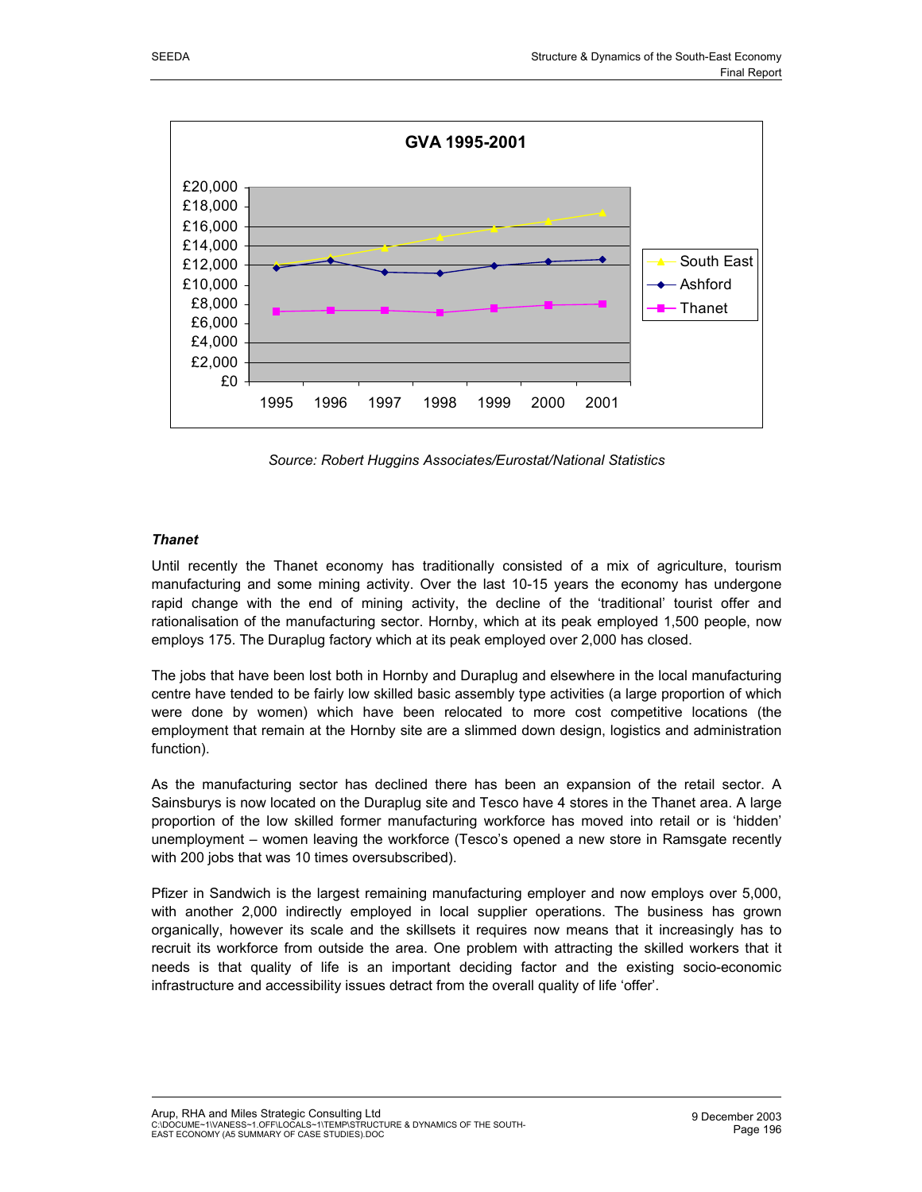

*Source: Robert Huggins Associates/Eurostat/National Statistics* 

## *Thanet*

Until recently the Thanet economy has traditionally consisted of a mix of agriculture, tourism manufacturing and some mining activity. Over the last 10-15 years the economy has undergone rapid change with the end of mining activity, the decline of the 'traditional' tourist offer and rationalisation of the manufacturing sector. Hornby, which at its peak employed 1,500 people, now employs 175. The Duraplug factory which at its peak employed over 2,000 has closed.

The jobs that have been lost both in Hornby and Duraplug and elsewhere in the local manufacturing centre have tended to be fairly low skilled basic assembly type activities (a large proportion of which were done by women) which have been relocated to more cost competitive locations (the employment that remain at the Hornby site are a slimmed down design, logistics and administration function).

As the manufacturing sector has declined there has been an expansion of the retail sector. A Sainsburys is now located on the Duraplug site and Tesco have 4 stores in the Thanet area. A large proportion of the low skilled former manufacturing workforce has moved into retail or is 'hidden' unemployment – women leaving the workforce (Tesco's opened a new store in Ramsgate recently with 200 jobs that was 10 times oversubscribed).

Pfizer in Sandwich is the largest remaining manufacturing employer and now employs over 5,000, with another 2,000 indirectly employed in local supplier operations. The business has grown organically, however its scale and the skillsets it requires now means that it increasingly has to recruit its workforce from outside the area. One problem with attracting the skilled workers that it needs is that quality of life is an important deciding factor and the existing socio-economic infrastructure and accessibility issues detract from the overall quality of life 'offer'.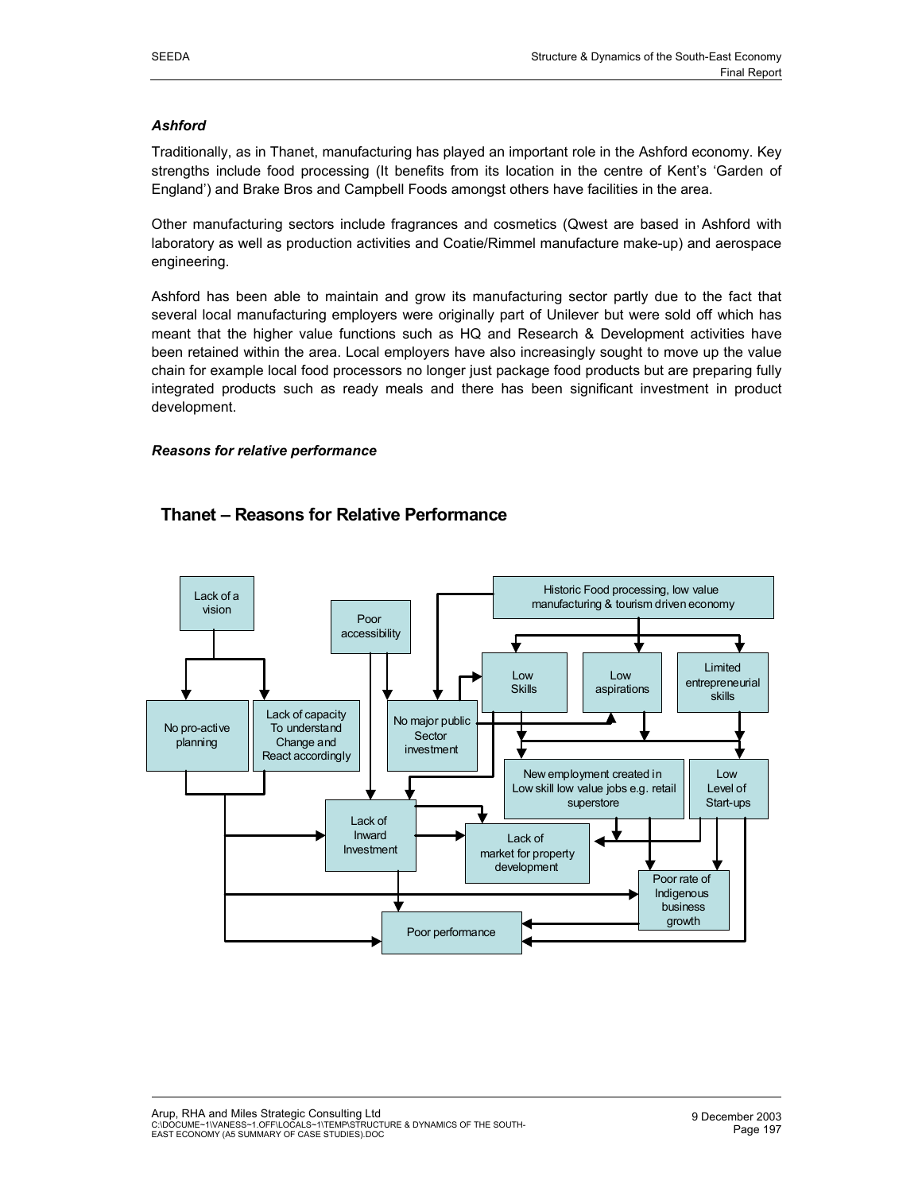## *Ashford*

Traditionally, as in Thanet, manufacturing has played an important role in the Ashford economy. Key strengths include food processing (It benefits from its location in the centre of Kent's 'Garden of England') and Brake Bros and Campbell Foods amongst others have facilities in the area.

Other manufacturing sectors include fragrances and cosmetics (Qwest are based in Ashford with laboratory as well as production activities and Coatie/Rimmel manufacture make-up) and aerospace engineering.

Ashford has been able to maintain and grow its manufacturing sector partly due to the fact that several local manufacturing employers were originally part of Unilever but were sold off which has meant that the higher value functions such as HQ and Research & Development activities have been retained within the area. Local employers have also increasingly sought to move up the value chain for example local food processors no longer just package food products but are preparing fully integrated products such as ready meals and there has been significant investment in product development.

#### *Reasons for relative performance*



# **Thanet – Reasons for Relative Performance**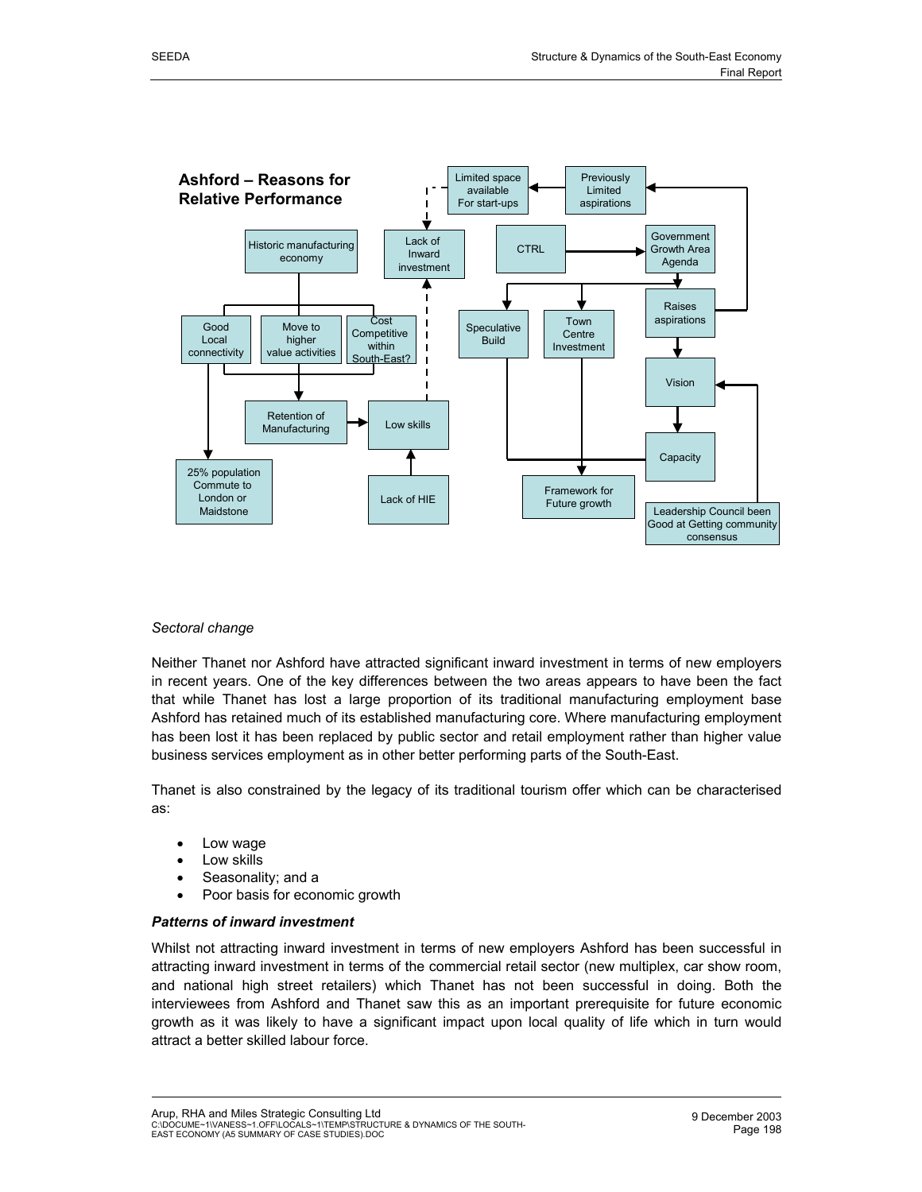

#### *Sectoral change*

Neither Thanet nor Ashford have attracted significant inward investment in terms of new employers in recent years. One of the key differences between the two areas appears to have been the fact that while Thanet has lost a large proportion of its traditional manufacturing employment base Ashford has retained much of its established manufacturing core. Where manufacturing employment has been lost it has been replaced by public sector and retail employment rather than higher value business services employment as in other better performing parts of the South-East.

Thanet is also constrained by the legacy of its traditional tourism offer which can be characterised as:

- Low wage
- Low skills
- Seasonality; and a
- Poor basis for economic growth

#### *Patterns of inward investment*

Whilst not attracting inward investment in terms of new employers Ashford has been successful in attracting inward investment in terms of the commercial retail sector (new multiplex, car show room, and national high street retailers) which Thanet has not been successful in doing. Both the interviewees from Ashford and Thanet saw this as an important prerequisite for future economic growth as it was likely to have a significant impact upon local quality of life which in turn would attract a better skilled labour force.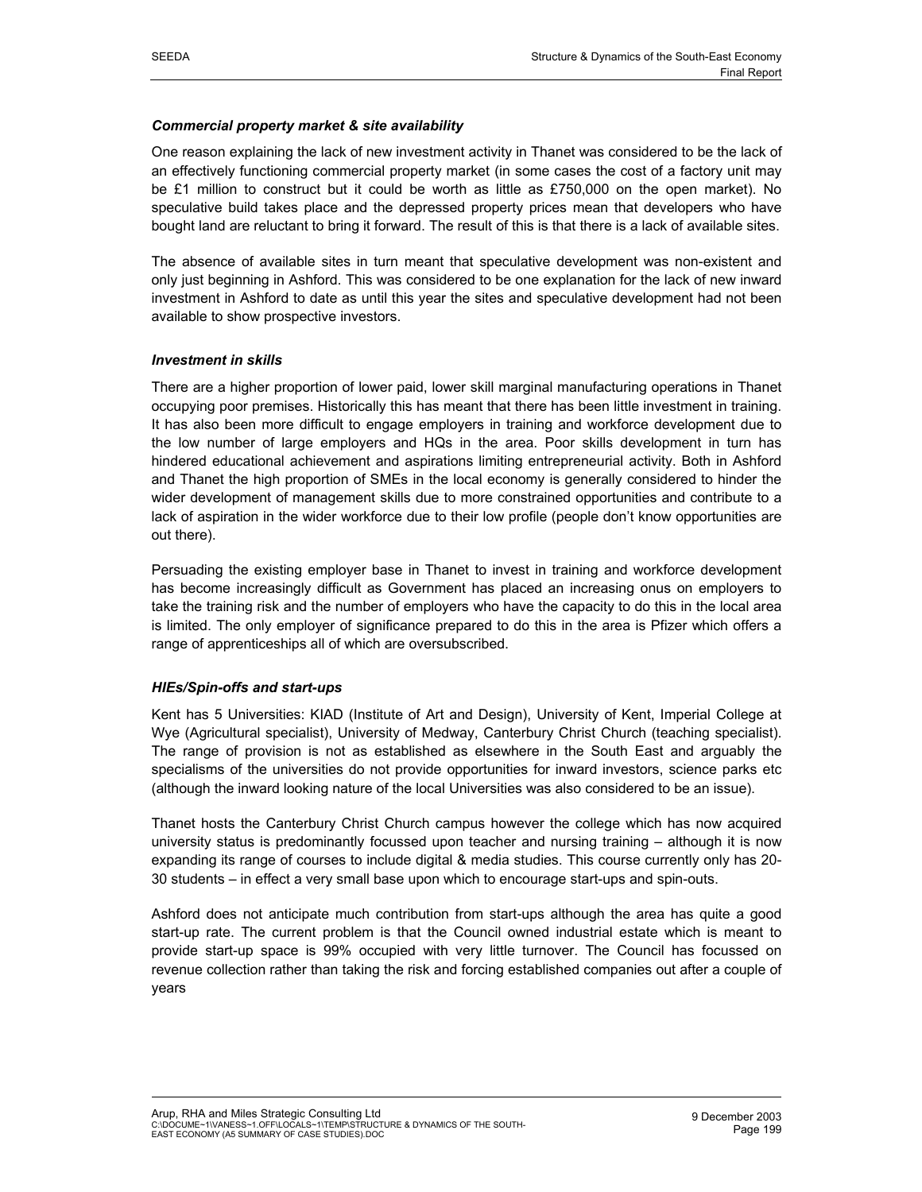## *Commercial property market & site availability*

One reason explaining the lack of new investment activity in Thanet was considered to be the lack of an effectively functioning commercial property market (in some cases the cost of a factory unit may be £1 million to construct but it could be worth as little as £750,000 on the open market). No speculative build takes place and the depressed property prices mean that developers who have bought land are reluctant to bring it forward. The result of this is that there is a lack of available sites.

The absence of available sites in turn meant that speculative development was non-existent and only just beginning in Ashford. This was considered to be one explanation for the lack of new inward investment in Ashford to date as until this year the sites and speculative development had not been available to show prospective investors.

## *Investment in skills*

There are a higher proportion of lower paid, lower skill marginal manufacturing operations in Thanet occupying poor premises. Historically this has meant that there has been little investment in training. It has also been more difficult to engage employers in training and workforce development due to the low number of large employers and HQs in the area. Poor skills development in turn has hindered educational achievement and aspirations limiting entrepreneurial activity. Both in Ashford and Thanet the high proportion of SMEs in the local economy is generally considered to hinder the wider development of management skills due to more constrained opportunities and contribute to a lack of aspiration in the wider workforce due to their low profile (people don't know opportunities are out there).

Persuading the existing employer base in Thanet to invest in training and workforce development has become increasingly difficult as Government has placed an increasing onus on employers to take the training risk and the number of employers who have the capacity to do this in the local area is limited. The only employer of significance prepared to do this in the area is Pfizer which offers a range of apprenticeships all of which are oversubscribed.

## *HIEs/Spin-offs and start-ups*

Kent has 5 Universities: KIAD (Institute of Art and Design), University of Kent, Imperial College at Wye (Agricultural specialist), University of Medway, Canterbury Christ Church (teaching specialist). The range of provision is not as established as elsewhere in the South East and arguably the specialisms of the universities do not provide opportunities for inward investors, science parks etc (although the inward looking nature of the local Universities was also considered to be an issue).

Thanet hosts the Canterbury Christ Church campus however the college which has now acquired university status is predominantly focussed upon teacher and nursing training – although it is now expanding its range of courses to include digital & media studies. This course currently only has 20- 30 students – in effect a very small base upon which to encourage start-ups and spin-outs.

Ashford does not anticipate much contribution from start-ups although the area has quite a good start-up rate. The current problem is that the Council owned industrial estate which is meant to provide start-up space is 99% occupied with very little turnover. The Council has focussed on revenue collection rather than taking the risk and forcing established companies out after a couple of years